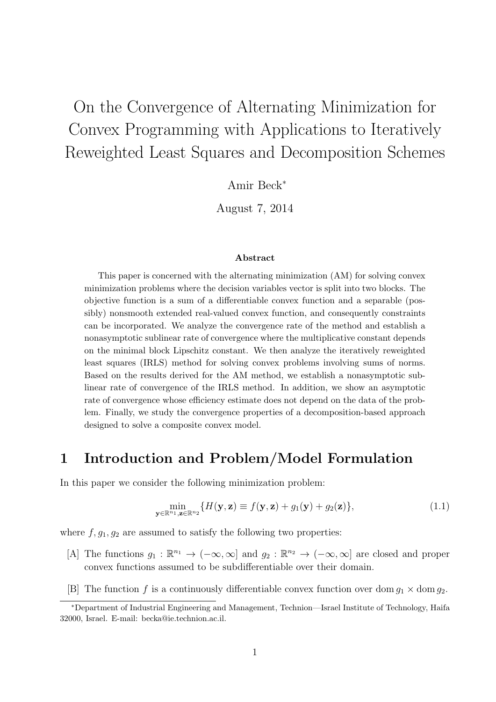# On the Convergence of Alternating Minimization for Convex Programming with Applications to Iteratively Reweighted Least Squares and Decomposition Schemes

Amir Beck*<sup>∗</sup>*

August 7, 2014

#### **Abstract**

This paper is concerned with the alternating minimization (AM) for solving convex minimization problems where the decision variables vector is split into two blocks. The objective function is a sum of a differentiable convex function and a separable (possibly) nonsmooth extended real-valued convex function, and consequently constraints can be incorporated. We analyze the convergence rate of the method and establish a nonasymptotic sublinear rate of convergence where the multiplicative constant depends on the minimal block Lipschitz constant. We then analyze the iteratively reweighted least squares (IRLS) method for solving convex problems involving sums of norms. Based on the results derived for the AM method, we establish a nonasymptotic sublinear rate of convergence of the IRLS method. In addition, we show an asymptotic rate of convergence whose efficiency estimate does not depend on the data of the problem. Finally, we study the convergence properties of a decomposition-based approach designed to solve a composite convex model.

### **1 Introduction and Problem/Model Formulation**

In this paper we consider the following minimization problem:

$$
\min_{\mathbf{y} \in \mathbb{R}^{n_1}, \mathbf{z} \in \mathbb{R}^{n_2}} \{ H(\mathbf{y}, \mathbf{z}) \equiv f(\mathbf{y}, \mathbf{z}) + g_1(\mathbf{y}) + g_2(\mathbf{z}) \},
$$
\n(1.1)

where  $f, g_1, g_2$  are assumed to satisfy the following two properties:

- [A] The functions  $g_1 : \mathbb{R}^{n_1} \to (-\infty, \infty]$  and  $g_2 : \mathbb{R}^{n_2} \to (-\infty, \infty]$  are closed and proper convex functions assumed to be subdifferentiable over their domain.
- [B] The function f is a continuously differentiable convex function over dom  $g_1 \times$  dom  $g_2$ .

*<sup>∗</sup>*Department of Industrial Engineering and Management, Technion—Israel Institute of Technology, Haifa 32000, Israel. E-mail: becka@ie.technion.ac.il.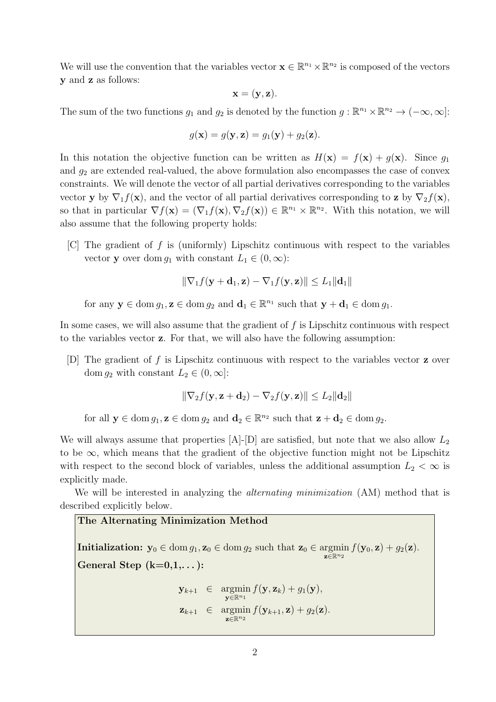We will use the convention that the variables vector  $\mathbf{x} \in \mathbb{R}^{n_1} \times \mathbb{R}^{n_2}$  is composed of the vectors **y** and **z** as follows:

$$
\mathbf{x} = (\mathbf{y}, \mathbf{z}).
$$

The sum of the two functions  $g_1$  and  $g_2$  is denoted by the function  $g : \mathbb{R}^{n_1} \times \mathbb{R}^{n_2} \to (-\infty, \infty]$ :

$$
g(\mathbf{x}) = g(\mathbf{y}, \mathbf{z}) = g_1(\mathbf{y}) + g_2(\mathbf{z}).
$$

In this notation the objective function can be written as  $H(\mathbf{x}) = f(\mathbf{x}) + g(\mathbf{x})$ . Since  $g_1$ and  $g_2$  are extended real-valued, the above formulation also encompasses the case of convex constraints. We will denote the vector of all partial derivatives corresponding to the variables vector **y** by  $\nabla_1 f(\mathbf{x})$ , and the vector of all partial derivatives corresponding to **z** by  $\nabla_2 f(\mathbf{x})$ , so that in particular  $\nabla f(\mathbf{x}) = (\nabla_1 f(\mathbf{x}), \nabla_2 f(\mathbf{x})) \in \mathbb{R}^{n_1} \times \mathbb{R}^{n_2}$ . With this notation, we will also assume that the following property holds:

[C] The gradient of *f* is (uniformly) Lipschitz continuous with respect to the variables vector **y** over dom  $g_1$  with constant  $L_1 \in (0, \infty)$ :

$$
\|\nabla_1 f(\mathbf{y} + \mathbf{d}_1, \mathbf{z}) - \nabla_1 f(\mathbf{y}, \mathbf{z})\| \le L_1 \|\mathbf{d}_1\|
$$

for any  $y \in \text{dom } g_1, z \in \text{dom } g_2$  and  $d_1 \in \mathbb{R}^{n_1}$  such that  $y + d_1 \in \text{dom } g_1$ .

In some cases, we will also assume that the gradient of *f* is Lipschitz continuous with respect to the variables vector **z**. For that, we will also have the following assumption:

[D] The gradient of *f* is Lipschitz continuous with respect to the variables vector **z** over dom  $g_2$  with constant  $L_2 \in (0, \infty]$ :

$$
\|\nabla_2 f(\mathbf{y}, \mathbf{z} + \mathbf{d}_2) - \nabla_2 f(\mathbf{y}, \mathbf{z})\| \le L_2 \|\mathbf{d}_2\|
$$

for all  $y \in \text{dom } g_1, z \in \text{dom } g_2$  and  $d_2 \in \mathbb{R}^{n_2}$  such that  $z + d_2 \in \text{dom } g_2$ .

We will always assume that properties [A]-[D] are satisfied, but note that we also allow  $L_2$ to be *∞*, which means that the gradient of the objective function might not be Lipschitz with respect to the second block of variables, unless the additional assumption  $L_2 < \infty$  is explicitly made.

We will be interested in analyzing the *alternating minimization* (AM) method that is described explicitly below.

#### **The Alternating Minimization Method**

**Initialization:**  $y_0 \in \text{dom } g_1, z_0 \in \text{dom } g_2 \text{ such that } z_0 \in \text{argmin } f(y_0, z) + g_2(z)$ . **z***∈*R*n*<sup>2</sup> **General Step (k=0,1,. . . ):**

> **y***k*+1 *∈* argmin **y***∈*R*n*<sup>1</sup>  $f(\mathbf{y}, \mathbf{z}_k) + g_1(\mathbf{y}),$ **z***k*+1 *∈* argmin **z***∈*R*n*<sup>2</sup>  $f(\mathbf{y}_{k+1}, \mathbf{z}) + g_2(\mathbf{z})$ .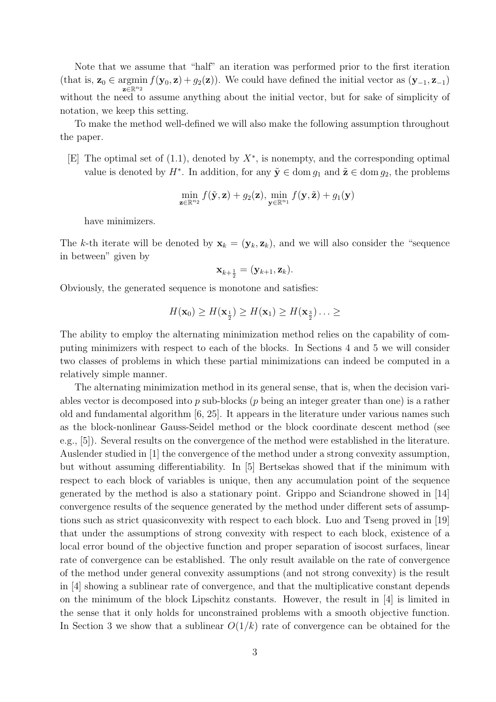Note that we assume that "half" an iteration was performed prior to the first iteration (that is,  $z_0 \in \text{argmin}$ **z***∈*R*n*<sup>2</sup>  $f(\mathbf{y}_0, \mathbf{z}) + g_2(\mathbf{z})$ ). We could have defined the initial vector as  $(\mathbf{y}_{-1}, \mathbf{z}_{-1})$ without the need to assume anything about the initial vector, but for sake of simplicity of notation, we keep this setting.

To make the method well-defined we will also make the following assumption throughout the paper.

[E] The optimal set of (1.1), denoted by *X<sup>∗</sup>* , is nonempty, and the corresponding optimal value is denoted by  $H^*$ . In addition, for any  $\tilde{\mathbf{y}} \in \text{dom } g_1$  and  $\tilde{\mathbf{z}} \in \text{dom } g_2$ , the problems

$$
\min_{\mathbf{z}\in\mathbb{R}^{n_2}} f(\tilde{\mathbf{y}}, \mathbf{z}) + g_2(\mathbf{z}), \min_{\mathbf{y}\in\mathbb{R}^{n_1}} f(\mathbf{y}, \tilde{\mathbf{z}}) + g_1(\mathbf{y})
$$

have minimizers.

The *k*-th iterate will be denoted by  $\mathbf{x}_k = (\mathbf{y}_k, \mathbf{z}_k)$ , and we will also consider the "sequence" in between" given by

$$
\mathbf{x}_{k+\frac{1}{2}}=(\mathbf{y}_{k+1},\mathbf{z}_k).
$$

Obviously, the generated sequence is monotone and satisfies:

$$
H(\mathbf{x}_0) \ge H(\mathbf{x}_{\frac{1}{2}}) \ge H(\mathbf{x}_1) \ge H(\mathbf{x}_{\frac{3}{2}}) \dots \ge
$$

The ability to employ the alternating minimization method relies on the capability of computing minimizers with respect to each of the blocks. In Sections 4 and 5 we will consider two classes of problems in which these partial minimizations can indeed be computed in a relatively simple manner.

The alternating minimization method in its general sense, that is, when the decision variables vector is decomposed into *p* sub-blocks (*p* being an integer greater than one) is a rather old and fundamental algorithm [6, 25]. It appears in the literature under various names such as the block-nonlinear Gauss-Seidel method or the block coordinate descent method (see e.g., [5]). Several results on the convergence of the method were established in the literature. Auslender studied in [1] the convergence of the method under a strong convexity assumption, but without assuming differentiability. In [5] Bertsekas showed that if the minimum with respect to each block of variables is unique, then any accumulation point of the sequence generated by the method is also a stationary point. Grippo and Sciandrone showed in [14] convergence results of the sequence generated by the method under different sets of assumptions such as strict quasiconvexity with respect to each block. Luo and Tseng proved in [19] that under the assumptions of strong convexity with respect to each block, existence of a local error bound of the objective function and proper separation of isocost surfaces, linear rate of convergence can be established. The only result available on the rate of convergence of the method under general convexity assumptions (and not strong convexity) is the result in [4] showing a sublinear rate of convergence, and that the multiplicative constant depends on the minimum of the block Lipschitz constants. However, the result in [4] is limited in the sense that it only holds for unconstrained problems with a smooth objective function. In Section 3 we show that a sublinear  $O(1/k)$  rate of convergence can be obtained for the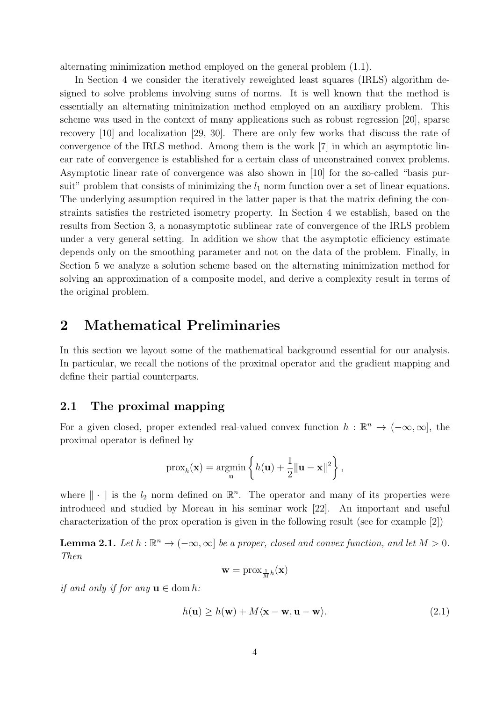alternating minimization method employed on the general problem (1.1).

In Section 4 we consider the iteratively reweighted least squares (IRLS) algorithm designed to solve problems involving sums of norms. It is well known that the method is essentially an alternating minimization method employed on an auxiliary problem. This scheme was used in the context of many applications such as robust regression [20], sparse recovery [10] and localization [29, 30]. There are only few works that discuss the rate of convergence of the IRLS method. Among them is the work [7] in which an asymptotic linear rate of convergence is established for a certain class of unconstrained convex problems. Asymptotic linear rate of convergence was also shown in [10] for the so-called "basis pursuit" problem that consists of minimizing the  $l_1$  norm function over a set of linear equations. The underlying assumption required in the latter paper is that the matrix defining the constraints satisfies the restricted isometry property. In Section 4 we establish, based on the results from Section 3, a nonasymptotic sublinear rate of convergence of the IRLS problem under a very general setting. In addition we show that the asymptotic efficiency estimate depends only on the smoothing parameter and not on the data of the problem. Finally, in Section 5 we analyze a solution scheme based on the alternating minimization method for solving an approximation of a composite model, and derive a complexity result in terms of the original problem.

### **2 Mathematical Preliminaries**

In this section we layout some of the mathematical background essential for our analysis. In particular, we recall the notions of the proximal operator and the gradient mapping and define their partial counterparts.

### **2.1 The proximal mapping**

For a given closed, proper extended real-valued convex function  $h : \mathbb{R}^n \to (-\infty, \infty]$ , the proximal operator is defined by

$$
\text{prox}_h(\mathbf{x}) = \operatornamewithlimits{argmin}_{\mathbf{u}} \left\{ h(\mathbf{u}) + \frac{1}{2} \| \mathbf{u} - \mathbf{x} \|^2 \right\},
$$

where  $\|\cdot\|$  is the  $l_2$  norm defined on  $\mathbb{R}^n$ . The operator and many of its properties were introduced and studied by Moreau in his seminar work [22]. An important and useful characterization of the prox operation is given in the following result (see for example [2])

**Lemma 2.1.** *Let*  $h : \mathbb{R}^n \to (-\infty, \infty]$  *be a proper, closed and convex function, and let*  $M > 0$ *. Then*

$$
\mathbf{w} = \text{prox}_{\frac{1}{M}h}(\mathbf{x})
$$

*if and only if for any*  $\mathbf{u} \in \text{dom } h$ *:* 

$$
h(\mathbf{u}) \ge h(\mathbf{w}) + M(\mathbf{x} - \mathbf{w}, \mathbf{u} - \mathbf{w}).
$$
\n(2.1)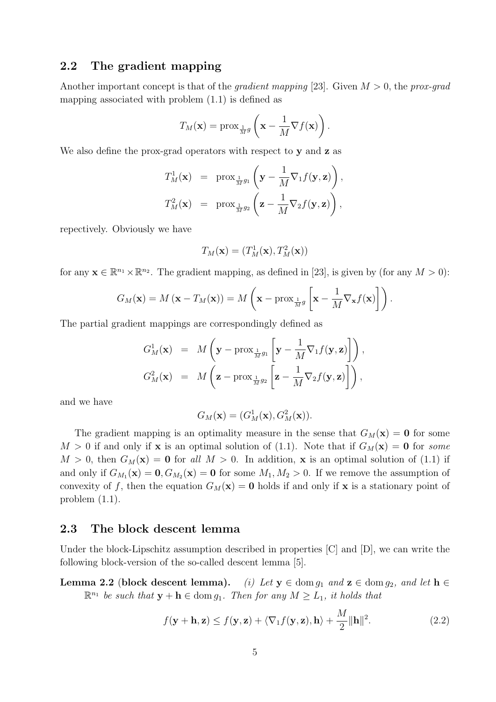### **2.2 The gradient mapping**

Another important concept is that of the *gradient mapping* [23]. Given *M >* 0, the *prox-grad* mapping associated with problem (1.1) is defined as

$$
T_M(\mathbf{x}) = \operatorname{prox}_{\frac{1}{M}g}\left(\mathbf{x} - \frac{1}{M}\nabla f(\mathbf{x})\right).
$$

We also define the prox-grad operators with respect to **y** and **z** as

$$
T_M^1(\mathbf{x}) = \text{prox}_{\frac{1}{M}g_1}\left(\mathbf{y} - \frac{1}{M}\nabla_1 f(\mathbf{y}, \mathbf{z})\right),
$$
  

$$
T_M^2(\mathbf{x}) = \text{prox}_{\frac{1}{M}g_2}\left(\mathbf{z} - \frac{1}{M}\nabla_2 f(\mathbf{y}, \mathbf{z})\right),
$$

repectively. Obviously we have

$$
T_M(\mathbf{x})=(T_M^1(\mathbf{x}),T_M^2(\mathbf{x}))
$$

for any  $\mathbf{x} \in \mathbb{R}^{n_1} \times \mathbb{R}^{n_2}$ . The gradient mapping, as defined in [23], is given by (for any  $M > 0$ ):

$$
G_M(\mathbf{x}) = M(\mathbf{x} - T_M(\mathbf{x})) = M\left(\mathbf{x} - \text{prox}_{\frac{1}{M}g}\left[\mathbf{x} - \frac{1}{M}\nabla_{\mathbf{x}}f(\mathbf{x})\right]\right).
$$

The partial gradient mappings are correspondingly defined as

$$
G_M^1(\mathbf{x}) = M\left(\mathbf{y} - \text{prox}_{\frac{1}{M}g_1}\left[\mathbf{y} - \frac{1}{M}\nabla_1 f(\mathbf{y}, \mathbf{z})\right]\right),
$$
  

$$
G_M^2(\mathbf{x}) = M\left(\mathbf{z} - \text{prox}_{\frac{1}{M}g_2}\left[\mathbf{z} - \frac{1}{M}\nabla_2 f(\mathbf{y}, \mathbf{z})\right]\right),
$$

and we have

$$
G_M(\mathbf{x}) = (G_M^1(\mathbf{x}), G_M^2(\mathbf{x})).
$$

The gradient mapping is an optimality measure in the sense that  $G_M(\mathbf{x}) = \mathbf{0}$  for some  $M > 0$  if and only if **x** is an optimal solution of (1.1). Note that if  $G_M(\mathbf{x}) = \mathbf{0}$  for *some*  $M > 0$ , then  $G_M(\mathbf{x}) = \mathbf{0}$  for all  $M > 0$ . In addition, **x** is an optimal solution of (1.1) if and only if  $G_{M_1}(\mathbf{x}) = \mathbf{0}, G_{M_2}(\mathbf{x}) = \mathbf{0}$  for some  $M_1, M_2 > 0$ . If we remove the assumption of convexity of f, then the equation  $G_M(\mathbf{x}) = \mathbf{0}$  holds if and only if **x** is a stationary point of problem (1.1).

### **2.3 The block descent lemma**

Under the block-Lipschitz assumption described in properties  $|C|$  and  $|D|$ , we can write the following block-version of the so-called descent lemma [5].

**Lemma 2.2** (**block descent lemma**). *(i) Let*  $y \in \text{dom } g_1$  *and*  $z \in \text{dom } g_2$ *, and let*  $h \in$  $\mathbb{R}^{n_1}$  *be such that*  $\mathbf{y} + \mathbf{h} \in \text{dom } g_1$ *. Then for any*  $M \geq L_1$ *, it holds that* 

$$
f(\mathbf{y} + \mathbf{h}, \mathbf{z}) \le f(\mathbf{y}, \mathbf{z}) + \langle \nabla_1 f(\mathbf{y}, \mathbf{z}), \mathbf{h} \rangle + \frac{M}{2} ||\mathbf{h}||^2.
$$
 (2.2)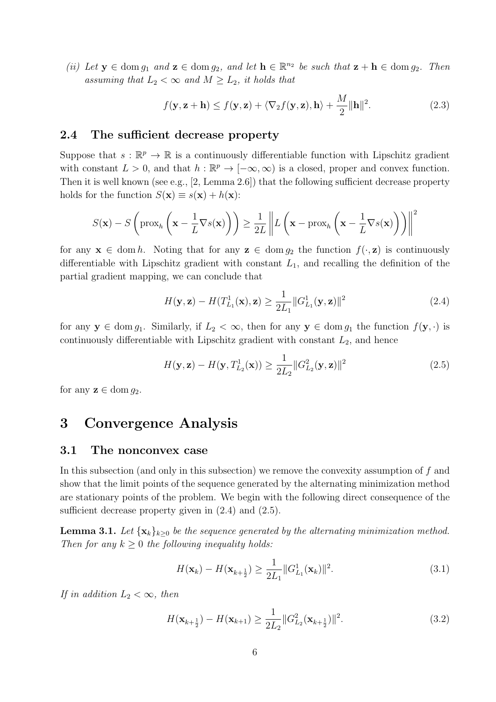*(ii) Let*  $\mathbf{y} \in \text{dom } g_1$  *and*  $\mathbf{z} \in \text{dom } g_2$ *, and let*  $\mathbf{h} \in \mathbb{R}^{n_2}$  *be such that*  $\mathbf{z} + \mathbf{h} \in \text{dom } g_2$ *. Then assuming that*  $L_2 < \infty$  *and*  $M \geq L_2$ *, it holds that* 

$$
f(\mathbf{y}, \mathbf{z} + \mathbf{h}) \le f(\mathbf{y}, \mathbf{z}) + \langle \nabla_2 f(\mathbf{y}, \mathbf{z}), \mathbf{h} \rangle + \frac{M}{2} ||\mathbf{h}||^2.
$$
 (2.3)

### **2.4 The sufficient decrease property**

Suppose that  $s : \mathbb{R}^p \to \mathbb{R}$  is a continuously differentiable function with Lipschitz gradient with constant  $L > 0$ , and that  $h : \mathbb{R}^p \to [-\infty, \infty)$  is a closed, proper and convex function. Then it is well known (see e.g., [2, Lemma 2.6]) that the following sufficient decrease property holds for the function  $S(\mathbf{x}) \equiv s(\mathbf{x}) + h(\mathbf{x})$ :

$$
S(\mathbf{x}) - S\left(\text{prox}_{h}\left(\mathbf{x} - \frac{1}{L}\nabla s(\mathbf{x})\right)\right) \ge \frac{1}{2L} \left\| L\left(\mathbf{x} - \text{prox}_{h}\left(\mathbf{x} - \frac{1}{L}\nabla s(\mathbf{x})\right)\right) \right\|^{2}
$$

for any  $\mathbf{x} \in \text{dom } h$ . Noting that for any  $\mathbf{z} \in \text{dom } g_2$  the function  $f(\cdot, \mathbf{z})$  is continuously differentiable with Lipschitz gradient with constant *L*1, and recalling the definition of the partial gradient mapping, we can conclude that

$$
H(\mathbf{y}, \mathbf{z}) - H(T_{L_1}^1(\mathbf{x}), \mathbf{z}) \ge \frac{1}{2L_1} ||G_{L_1}^1(\mathbf{y}, \mathbf{z})||^2
$$
\n(2.4)

for any  $y \in \text{dom } g_1$ . Similarly, if  $L_2 < \infty$ , then for any  $y \in \text{dom } g_1$  the function  $f(y, \cdot)$  is continuously differentiable with Lipschitz gradient with constant *L*2, and hence

$$
H(\mathbf{y}, \mathbf{z}) - H(\mathbf{y}, T_{L_2}^1(\mathbf{x})) \ge \frac{1}{2L_2} ||G_{L_2}^2(\mathbf{y}, \mathbf{z})||^2
$$
\n(2.5)

for any  $z \in \text{dom } q_2$ .

### **3 Convergence Analysis**

#### **3.1 The nonconvex case**

In this subsection (and only in this subsection) we remove the convexity assumption of *f* and show that the limit points of the sequence generated by the alternating minimization method are stationary points of the problem. We begin with the following direct consequence of the sufficient decrease property given in  $(2.4)$  and  $(2.5)$ .

**Lemma 3.1.** *Let*  $\{x_k\}_{k\geq 0}$  *be the sequence generated by the alternating minimization method. Then for any k ≥* 0 *the following inequality holds:*

$$
H(\mathbf{x}_k) - H(\mathbf{x}_{k+\frac{1}{2}}) \ge \frac{1}{2L_1} ||G_{L_1}^1(\mathbf{x}_k)||^2.
$$
 (3.1)

*If in addition*  $L_2 < \infty$ *, then* 

$$
H(\mathbf{x}_{k+\frac{1}{2}}) - H(\mathbf{x}_{k+1}) \ge \frac{1}{2L_2} \|G_{L_2}^2(\mathbf{x}_{k+\frac{1}{2}})\|^2.
$$
 (3.2)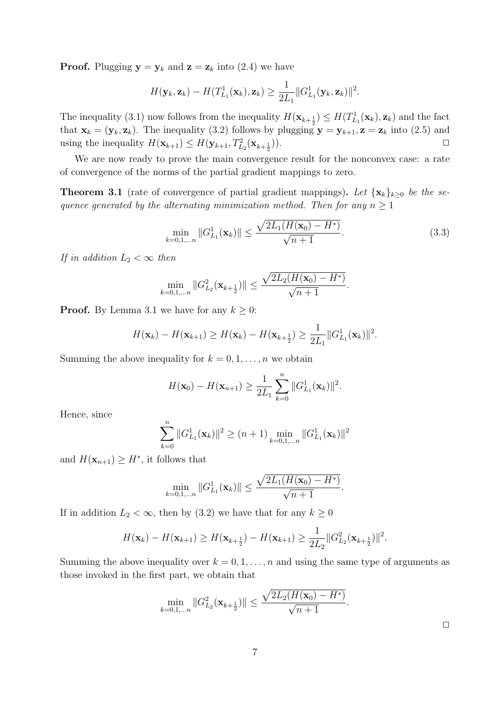**Proof.** Plugging  $y = y_k$  and  $z = z_k$  into (2.4) we have

$$
H(\mathbf{y}_k, \mathbf{z}_k) - H(T_{L_1}^1(\mathbf{x}_k), \mathbf{z}_k) \geq \frac{1}{2L_1} ||G_{L_1}^1(\mathbf{y}_k, \mathbf{z}_k)||^2.
$$

The inequality (3.1) now follows from the inequality  $H(\mathbf{x}_{k+\frac{1}{2}}) \leq H(T^1_{L_1}(\mathbf{x}_k), \mathbf{z}_k)$  and the fact that  $\mathbf{x}_k = (\mathbf{y}_k, \mathbf{z}_k)$ . The inequality (3.2) follows by plugging  $\mathbf{y} = \mathbf{y}_{k+1}, \mathbf{z} = \mathbf{z}_k$  into (2.5) and using the inequality  $H(\mathbf{x}_{k+1}) \leq H(\mathbf{y}_{k+1}, T_{L_2}^2(\mathbf{x}_{k+\frac{1}{2}}))$ )). *✷*

We are now ready to prove the main convergence result for the nonconvex case: a rate of convergence of the norms of the partial gradient mappings to zero.

**Theorem 3.1** (rate of convergence of partial gradient mappings). Let  $\{x_k\}_{k\geq 0}$  be the se*quence generated by the alternating minimization method. Then for any*  $n \geq 1$ 

$$
\min_{k=0,1,\dots n} \|G_{L_1}^1(\mathbf{x}_k)\| \le \frac{\sqrt{2L_1(H(\mathbf{x}_0) - H^*)}}{\sqrt{n+1}}.
$$
\n(3.3)

*.*

*If in addition*  $L_2 < \infty$  *then* 

$$
\min_{k=0,1,...n} \|G_{L_2}^2(\mathbf{x}_{k+\frac{1}{2}})\| \le \frac{\sqrt{2L_2(H(\mathbf{x}_0) - H^*)}}{\sqrt{n+1}}.
$$

**Proof.** By Lemma 3.1 we have for any  $k \geq 0$ :

$$
H(\mathbf{x}_k) - H(\mathbf{x}_{k+1}) \ge H(\mathbf{x}_k) - H(\mathbf{x}_{k+\frac{1}{2}}) \ge \frac{1}{2L_1} ||G_{L_1}^1(\mathbf{x}_k)||^2.
$$

Summing the above inequality for  $k = 0, 1, \ldots, n$  we obtain

$$
H(\mathbf{x}_0) - H(\mathbf{x}_{n+1}) \ge \frac{1}{2L_1} \sum_{k=0}^n ||G_{L_1}^1(\mathbf{x}_k)||^2.
$$

Hence, since

$$
\sum_{k=0}^{n} ||G_{L_1}^1(\mathbf{x}_k)||^2 \ge (n+1) \min_{k=0,1,...n} ||G_{L_1}^1(\mathbf{x}_k)||^2
$$

and  $H(\mathbf{x}_{n+1}) \geq H^*$ , it follows that

$$
\min_{k=0,1,...n} \|G_{L_1}^1(\mathbf{x}_k)\| \le \frac{\sqrt{2L_1(H(\mathbf{x}_0) - H^*)}}{\sqrt{n+1}}
$$

If in addition  $L_2 < \infty$ , then by (3.2) we have that for any  $k \geq 0$ 

$$
H(\mathbf{x}_{k}) - H(\mathbf{x}_{k+1}) \geq H(\mathbf{x}_{k+\frac{1}{2}}) - H(\mathbf{x}_{k+1}) \geq \frac{1}{2L_{2}} ||G_{L_{2}}^{2}(\mathbf{x}_{k+\frac{1}{2}})||^{2}.
$$

Summing the above inequality over  $k = 0, 1, \ldots, n$  and using the same type of arguments as those invoked in the first part, we obtain that

$$
\min_{k=0,1,...n} \|G_{L_2}^2(\mathbf{x}_{k+\frac{1}{2}})\| \le \frac{\sqrt{2L_2(H(\mathbf{x}_0) - H^*)}}{\sqrt{n+1}}.
$$

 $\Box$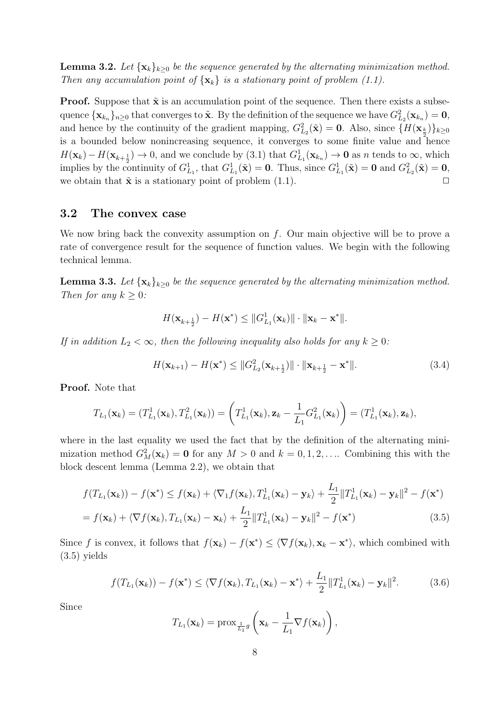**Lemma 3.2.** Let  $\{x_k\}_{k>0}$  be the sequence generated by the alternating minimization method. *Then any accumulation point of*  $\{x_k\}$  *is a stationary point of problem (1.1).* 

**Proof.** Suppose that  $\tilde{\mathbf{x}}$  is an accumulation point of the sequence. Then there exists a subsequence  ${\bf x}_{k_n}$ ,  $_{n\geq 0}$  that converges to  $\tilde{\bf x}$ . By the definition of the sequence we have  $G_{L_2}^2({\bf x}_{k_n}) = {\bf 0}$ , and hence by the continuity of the gradient mapping,  $G_{L_2}^2(\tilde{\mathbf{x}}) = \mathbf{0}$ . Also, since  $\{H(\mathbf{x}_{\frac{k}{2}})\}_{k \geq 0}$ is a bounded below nonincreasing sequence, it converges to some finite value and hence  $H(\mathbf{x}_k) - H(\mathbf{x}_{k+\frac{1}{2}}) \to 0$ , and we conclude by (3.1) that  $G_{L_1}^1(\mathbf{x}_{k_n}) \to \mathbf{0}$  as *n* tends to  $\infty$ , which implies by the continuity of  $G_{L_1}^1$ , that  $G_{L_1}^1(\tilde{\mathbf{x}}) = \mathbf{0}$ . Thus, since  $G_{L_1}^1(\tilde{\mathbf{x}}) = \mathbf{0}$  and  $G_{L_2}^2(\tilde{\mathbf{x}}) = \mathbf{0}$ , we obtain that  $\tilde{\mathbf{x}}$  is a stationary point of problem  $(1.1)$ .

### **3.2 The convex case**

We now bring back the convexity assumption on *f*. Our main objective will be to prove a rate of convergence result for the sequence of function values. We begin with the following technical lemma.

**Lemma 3.3.** Let  $\{x_k\}_{k>0}$  be the sequence generated by the alternating minimization method. *Then for any*  $k \geq 0$ *:* 

$$
H(\mathbf{x}_{k+\frac{1}{2}})-H(\mathbf{x}^*)\leq ||G_{L_1}^1(\mathbf{x}_k)||\cdot ||\mathbf{x}_k-\mathbf{x}^*||.
$$

*If in addition*  $L_2 < \infty$ , then the following inequality also holds for any  $k \geq 0$ :

$$
H(\mathbf{x}_{k+1}) - H(\mathbf{x}^*) \le ||G_{L_2}^2(\mathbf{x}_{k+\frac{1}{2}})|| \cdot ||\mathbf{x}_{k+\frac{1}{2}} - \mathbf{x}^*||. \tag{3.4}
$$

**Proof.** Note that

$$
T_{L_1}(\mathbf{x}_k) = (T_{L_1}^1(\mathbf{x}_k), T_{L_1}^2(\mathbf{x}_k)) = \left(T_{L_1}^1(\mathbf{x}_k), \mathbf{z}_k - \frac{1}{L_1} G_{L_1}^2(\mathbf{x}_k)\right) = (T_{L_1}^1(\mathbf{x}_k), \mathbf{z}_k),
$$

where in the last equality we used the fact that by the definition of the alternating minimization method  $G_M^2(\mathbf{x}_k) = \mathbf{0}$  for any  $M > 0$  and  $k = 0, 1, 2, \dots$  Combining this with the block descent lemma (Lemma 2.2), we obtain that

$$
f(T_{L_1}(\mathbf{x}_k)) - f(\mathbf{x}^*) \leq f(\mathbf{x}_k) + \langle \nabla_1 f(\mathbf{x}_k), T_{L_1}^1(\mathbf{x}_k) - \mathbf{y}_k \rangle + \frac{L_1}{2} ||T_{L_1}^1(\mathbf{x}_k) - \mathbf{y}_k||^2 - f(\mathbf{x}^*)
$$

$$
= f(\mathbf{x}_k) + \langle \nabla f(\mathbf{x}_k), T_{L_1}(\mathbf{x}_k) - \mathbf{x}_k \rangle + \frac{L_1}{2} ||T_{L_1}^1(\mathbf{x}_k) - \mathbf{y}_k||^2 - f(\mathbf{x}^*)
$$
\n(3.5)

Since f is convex, it follows that  $f(\mathbf{x}_k) - f(\mathbf{x}^*) \leq \langle \nabla f(\mathbf{x}_k), \mathbf{x}_k - \mathbf{x}^* \rangle$ , which combined with (3.5) yields

$$
f(T_{L_1}(\mathbf{x}_k)) - f(\mathbf{x}^*) \le \langle \nabla f(\mathbf{x}_k), T_{L_1}(\mathbf{x}_k) - \mathbf{x}^* \rangle + \frac{L_1}{2} ||T_{L_1}^1(\mathbf{x}_k) - \mathbf{y}_k||^2.
$$
 (3.6)

Since

$$
T_{L_1}(\mathbf{x}_k) = \operatorname{prox}_{\frac{1}{L_1}g}\left(\mathbf{x}_k - \frac{1}{L_1}\nabla f(\mathbf{x}_k)\right),
$$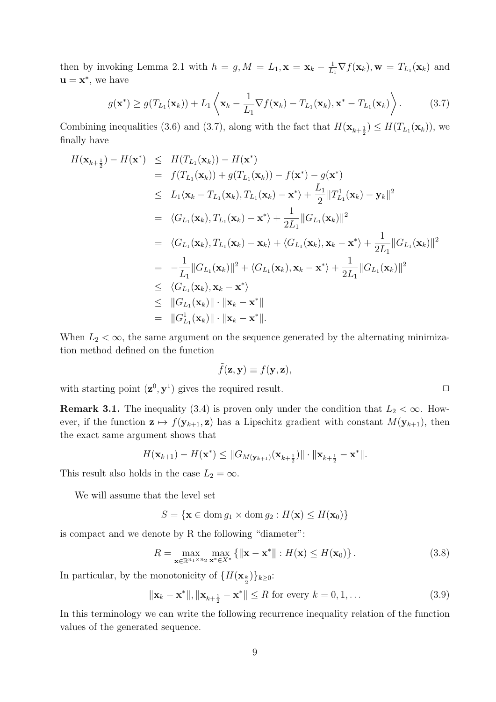then by invoking Lemma 2.1 with  $h = g, M = L_1, \mathbf{x} = \mathbf{x}_k - \frac{1}{L}$  $\frac{1}{L_1} \nabla f(\mathbf{x}_k)$ ,  $\mathbf{w} = T_{L_1}(\mathbf{x}_k)$  and  $\mathbf{u} = \mathbf{x}^*$ , we have

$$
g(\mathbf{x}^*) \ge g(T_{L_1}(\mathbf{x}_k)) + L_1 \left\langle \mathbf{x}_k - \frac{1}{L_1} \nabla f(\mathbf{x}_k) - T_{L_1}(\mathbf{x}_k), \mathbf{x}^* - T_{L_1}(\mathbf{x}_k) \right\rangle.
$$
 (3.7)

Combining inequalities (3.6) and (3.7), along with the fact that  $H(\mathbf{x}_{k+\frac{1}{2}}) \leq H(T_{L_1}(\mathbf{x}_k))$ , we finally have

$$
H(\mathbf{x}_{k+\frac{1}{2}}) - H(\mathbf{x}^{*}) \leq H(T_{L_{1}}(\mathbf{x}_{k})) - H(\mathbf{x}^{*})
$$
  
\n
$$
= f(T_{L_{1}}(\mathbf{x}_{k})) + g(T_{L_{1}}(\mathbf{x}_{k})) - f(\mathbf{x}^{*}) - g(\mathbf{x}^{*})
$$
  
\n
$$
\leq L_{1}\langle \mathbf{x}_{k} - T_{L_{1}}(\mathbf{x}_{k}), T_{L_{1}}(\mathbf{x}_{k}) - \mathbf{x}^{*} \rangle + \frac{L_{1}}{2} ||T_{L_{1}}^{1}(\mathbf{x}_{k}) - \mathbf{y}_{k}||^{2}
$$
  
\n
$$
= \langle G_{L_{1}}(\mathbf{x}_{k}), T_{L_{1}}(\mathbf{x}_{k}) - \mathbf{x}^{*} \rangle + \frac{1}{2L_{1}} ||G_{L_{1}}(\mathbf{x}_{k})||^{2}
$$
  
\n
$$
= \langle G_{L_{1}}(\mathbf{x}_{k}), T_{L_{1}}(\mathbf{x}_{k}) - \mathbf{x}_{k} \rangle + \langle G_{L_{1}}(\mathbf{x}_{k}), \mathbf{x}_{k} - \mathbf{x}^{*} \rangle + \frac{1}{2L_{1}} ||G_{L_{1}}(\mathbf{x}_{k})||^{2}
$$
  
\n
$$
= -\frac{1}{L_{1}} ||G_{L_{1}}(\mathbf{x}_{k})||^{2} + \langle G_{L_{1}}(\mathbf{x}_{k}), \mathbf{x}_{k} - \mathbf{x}^{*} \rangle + \frac{1}{2L_{1}} ||G_{L_{1}}(\mathbf{x}_{k})||^{2}
$$
  
\n
$$
\leq \langle G_{L_{1}}(\mathbf{x}_{k}), \mathbf{x}_{k} - \mathbf{x}^{*} \rangle
$$
  
\n
$$
\leq ||G_{L_{1}}(\mathbf{x}_{k})|| \cdot ||\mathbf{x}_{k} - \mathbf{x}^{*}||
$$
  
\n
$$
= ||G_{L_{1}}^{1}(\mathbf{x}_{k})|| \cdot ||\mathbf{x}_{k} - \mathbf{x}^{*}||.
$$

When  $L_2 < \infty$ , the same argument on the sequence generated by the alternating minimization method defined on the function

$$
\tilde{f}(\mathbf{z}, \mathbf{y}) \equiv f(\mathbf{y}, \mathbf{z}),
$$

with starting point  $(\mathbf{z}^0, \mathbf{y}^1)$  gives the required result.  $\Box$ 

**Remark 3.1.** The inequality (3.4) is proven only under the condition that  $L_2 < \infty$ . However, if the function  $z \mapsto f(\mathbf{y}_{k+1}, z)$  has a Lipschitz gradient with constant  $M(\mathbf{y}_{k+1})$ , then the exact same argument shows that

$$
H(\mathbf{x}_{k+1}) - H(\mathbf{x}^*) \leq \|G_{M(\mathbf{y}_{k+1})}(\mathbf{x}_{k+\frac{1}{2}})\| \cdot \|\mathbf{x}_{k+\frac{1}{2}} - \mathbf{x}^*\|.
$$

This result also holds in the case  $L_2 = \infty$ .

We will assume that the level set

$$
S = \{ \mathbf{x} \in \text{dom } g_1 \times \text{dom } g_2 : H(\mathbf{x}) \le H(\mathbf{x}_0) \}
$$

is compact and we denote by R the following "diameter":

$$
R = \max_{\mathbf{x} \in \mathbb{R}^{n_1 \times n_2}} \max_{\mathbf{x}^* \in X^*} \{ \|\mathbf{x} - \mathbf{x}^*\| : H(\mathbf{x}) \le H(\mathbf{x}_0) \}.
$$
 (3.8)

In particular, by the monotonicity of  $\{H(\mathbf{x}_{\frac{k}{2}})\}_{k\geq 0}$ :

$$
\|\mathbf{x}_k - \mathbf{x}^*\|, \|\mathbf{x}_{k+\frac{1}{2}} - \mathbf{x}^*\| \le R \text{ for every } k = 0, 1, \dots
$$
\n(3.9)

In this terminology we can write the following recurrence inequality relation of the function values of the generated sequence.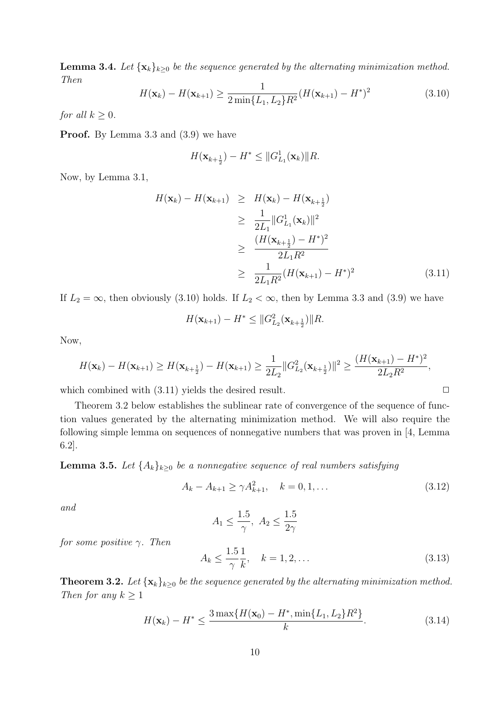**Lemma 3.4.** *Let*  $\{x_k\}_{k>0}$  *be the sequence generated by the alternating minimization method. Then*

$$
H(\mathbf{x}_k) - H(\mathbf{x}_{k+1}) \ge \frac{1}{2 \min\{L_1, L_2\} R^2} (H(\mathbf{x}_{k+1}) - H^*)^2
$$
\n(3.10)

*for all*  $k \geq 0$ *.* 

**Proof.** By Lemma 3.3 and  $(3.9)$  we have

$$
H(\mathbf{x}_{k+\frac{1}{2}}) - H^* \leq ||G_{L_1}^1(\mathbf{x}_k)||R.
$$

Now, by Lemma 3.1,

$$
H(\mathbf{x}_{k}) - H(\mathbf{x}_{k+1}) \geq H(\mathbf{x}_{k}) - H(\mathbf{x}_{k+\frac{1}{2}})
$$
  
\n
$$
\geq \frac{1}{2L_{1}} ||G_{L_{1}}^{1}(\mathbf{x}_{k})||^{2}
$$
  
\n
$$
\geq \frac{(H(\mathbf{x}_{k+\frac{1}{2}}) - H^{*})^{2}}{2L_{1}R^{2}}
$$
  
\n
$$
\geq \frac{1}{2L_{1}R^{2}}(H(\mathbf{x}_{k+1}) - H^{*})^{2}
$$
\n(3.11)

If  $L_2 = \infty$ , then obviously (3.10) holds. If  $L_2 < \infty$ , then by Lemma 3.3 and (3.9) we have

$$
H(\mathbf{x}_{k+1}) - H^* \leq ||G_{L_2}^2(\mathbf{x}_{k+\frac{1}{2}})||R.
$$

Now,

$$
H(\mathbf{x}_{k}) - H(\mathbf{x}_{k+1}) \geq H(\mathbf{x}_{k+\frac{1}{2}}) - H(\mathbf{x}_{k+1}) \geq \frac{1}{2L_{2}} \|G_{L_{2}}^{2}(\mathbf{x}_{k+\frac{1}{2}})\|^{2} \geq \frac{(H(\mathbf{x}_{k+1}) - H^{*})^{2}}{2L_{2}R^{2}},
$$

which combined with  $(3.11)$  yields the desired result.  $\Box$ 

Theorem 3.2 below establishes the sublinear rate of convergence of the sequence of function values generated by the alternating minimization method. We will also require the following simple lemma on sequences of nonnegative numbers that was proven in [4, Lemma 6.2].

**Lemma 3.5.** *Let*  $\{A_k\}_{k\geq 0}$  *be a nonnegative sequence of real numbers satisfying* 

$$
A_k - A_{k+1} \ge \gamma A_{k+1}^2, \quad k = 0, 1, \dots \tag{3.12}
$$

*and*

$$
A_1 \le \frac{1.5}{\gamma}, \ A_2 \le \frac{1.5}{2\gamma}
$$

*for some positive γ. Then*

$$
A_k \le \frac{1.5}{\gamma} \frac{1}{k}, \quad k = 1, 2, \dots \tag{3.13}
$$

**Theorem 3.2.** Let  $\{x_k\}_{k\geq 0}$  be the sequence generated by the alternating minimization method. *Then for any*  $k \geq 1$ 

$$
H(\mathbf{x}_k) - H^* \le \frac{3 \max\{H(\mathbf{x}_0) - H^*, \min\{L_1, L_2\}R^2\}}{k}.
$$
\n(3.14)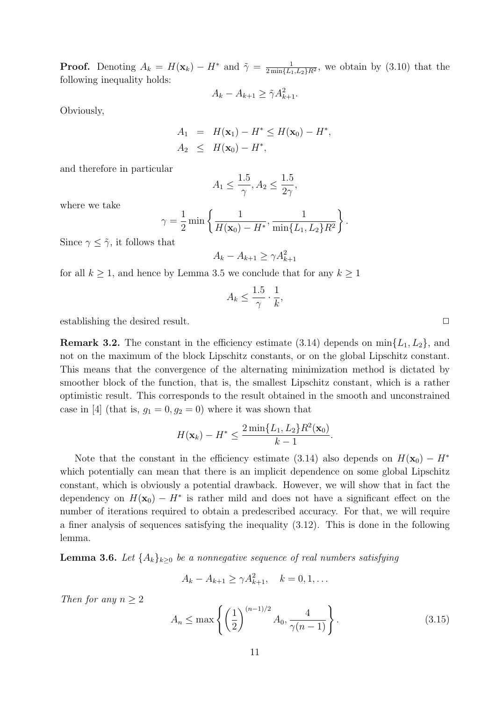**Proof.** Denoting  $A_k = H(\mathbf{x}_k) - H^*$  and  $\tilde{\gamma} = \frac{1}{2 \min\{L\}}$  $\frac{1}{2 \min\{L_1, L_2\} R^2}$ , we obtain by  $(3.10)$  that the following inequality holds:

$$
A_k - A_{k+1} \ge \tilde{\gamma} A_{k+1}^2.
$$

Obviously,

$$
A_1 = H(\mathbf{x}_1) - H^* \le H(\mathbf{x}_0) - H^*,
$$
  

$$
A_2 \le H(\mathbf{x}_0) - H^*,
$$

and therefore in particular

$$
A_1 \le \frac{1.5}{\gamma}, A_2 \le \frac{1.5}{2\gamma},
$$

where we take

$$
\gamma = \frac{1}{2} \min \left\{ \frac{1}{H(\mathbf{x}_0) - H^*}, \frac{1}{\min\{L_1, L_2\} R^2} \right\}.
$$

Since  $\gamma \leq \tilde{\gamma}$ , it follows that

$$
A_k - A_{k+1} \ge \gamma A_{k+1}^2
$$

for all  $k \geq 1$ , and hence by Lemma 3.5 we conclude that for any  $k \geq 1$ 

$$
A_k \le \frac{1.5}{\gamma} \cdot \frac{1}{k},
$$

establishing the desired result.  $\Box$ 

**Remark 3.2.** The constant in the efficiency estimate (3.14) depends on  $\min\{L_1, L_2\}$ , and not on the maximum of the block Lipschitz constants, or on the global Lipschitz constant. This means that the convergence of the alternating minimization method is dictated by smoother block of the function, that is, the smallest Lipschitz constant, which is a rather optimistic result. This corresponds to the result obtained in the smooth and unconstrained case in [4] (that is,  $g_1 = 0, g_2 = 0$ ) where it was shown that

$$
H(\mathbf{x}_k) - H^* \le \frac{2 \min\{L_1, L_2\} R^2(\mathbf{x}_0)}{k - 1}.
$$

Note that the constant in the efficiency estimate (3.14) also depends on  $H(\mathbf{x}_0) - H^*$ which potentially can mean that there is an implicit dependence on some global Lipschitz constant, which is obviously a potential drawback. However, we will show that in fact the dependency on  $H(\mathbf{x}_0) - H^*$  is rather mild and does not have a significant effect on the number of iterations required to obtain a predescribed accuracy. For that, we will require a finer analysis of sequences satisfying the inequality (3.12). This is done in the following lemma.

**Lemma 3.6.** *Let*  $\{A_k\}_{k\geq 0}$  *be a nonnegative sequence of real numbers satisfying* 

$$
A_k - A_{k+1} \ge \gamma A_{k+1}^2, \quad k = 0, 1, \dots
$$

*Then for any*  $n \geq 2$ 

$$
A_n \le \max\left\{ \left(\frac{1}{2}\right)^{(n-1)/2} A_0, \frac{4}{\gamma(n-1)} \right\}.
$$
 (3.15)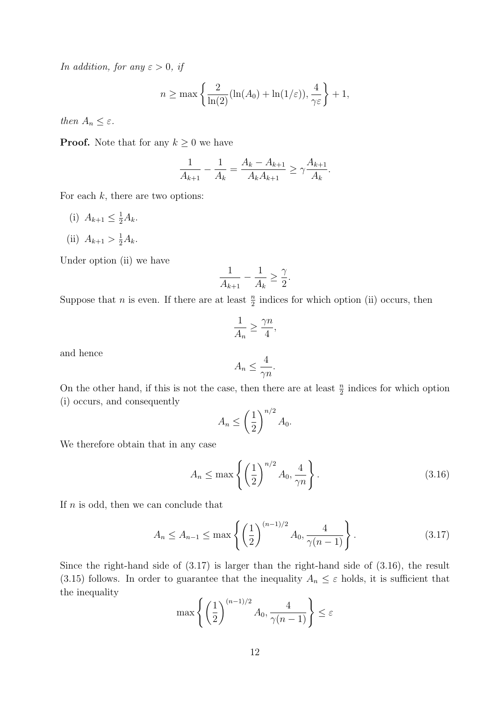*In addition, for any*  $\varepsilon > 0$ *, if* 

$$
n \ge \max\left\{\frac{2}{\ln(2)}(\ln(A_0) + \ln(1/\varepsilon)), \frac{4}{\gamma \varepsilon}\right\} + 1,
$$

*then*  $A_n \leq \varepsilon$ *.* 

**Proof.** Note that for any  $k \geq 0$  we have

$$
\frac{1}{A_{k+1}} - \frac{1}{A_k} = \frac{A_k - A_{k+1}}{A_k A_{k+1}} \ge \gamma \frac{A_{k+1}}{A_k}.
$$

For each *k*, there are two options:

(i)  $A_{k+1} \leq \frac{1}{2}A_k$ . (ii)  $A_{k+1} > \frac{1}{2}A_k$ .

Under option (ii) we have

$$
\frac{1}{A_{k+1}} - \frac{1}{A_k} \ge \frac{\gamma}{2}.
$$

Suppose that *n* is even. If there are at least  $\frac{n}{2}$  indices for which option (ii) occurs, then

$$
\frac{1}{A_n} \ge \frac{\gamma n}{4},
$$

and hence

$$
A_n \le \frac{4}{\gamma n}.
$$

On the other hand, if this is not the case, then there are at least  $\frac{n}{2}$  indices for which option (i) occurs, and consequently

$$
A_n \le \left(\frac{1}{2}\right)^{n/2} A_0.
$$

We therefore obtain that in any case

$$
A_n \le \max\left\{ \left(\frac{1}{2}\right)^{n/2} A_0, \frac{4}{\gamma n} \right\}.
$$
\n(3.16)

If *n* is odd, then we can conclude that

$$
A_n \le A_{n-1} \le \max\left\{ \left(\frac{1}{2}\right)^{(n-1)/2} A_0, \frac{4}{\gamma(n-1)} \right\}.
$$
 (3.17)

Since the right-hand side of (3.17) is larger than the right-hand side of (3.16), the result (3.15) follows. In order to guarantee that the inequality  $A_n \leq \varepsilon$  holds, it is sufficient that the inequality

$$
\max\left\{ \left(\frac{1}{2}\right)^{(n-1)/2} A_0, \frac{4}{\gamma(n-1)} \right\} \le \varepsilon
$$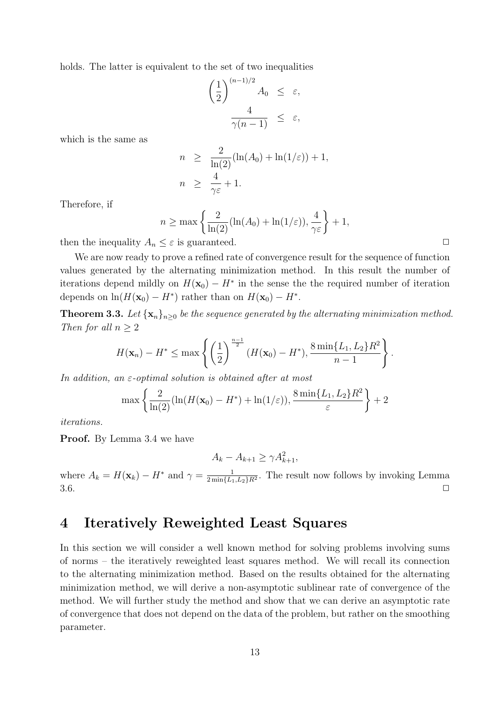holds. The latter is equivalent to the set of two inequalities

$$
\left(\frac{1}{2}\right)^{(n-1)/2} A_0 \leq \varepsilon,
$$
  

$$
\frac{4}{\gamma(n-1)} \leq \varepsilon,
$$

which is the same as

$$
n \geq \frac{2}{\ln(2)}(\ln(A_0) + \ln(1/\varepsilon)) + 1,
$$
  

$$
n \geq \frac{4}{\gamma \varepsilon} + 1.
$$

Therefore, if

$$
n \ge \max\left\{\frac{2}{\ln(2)}(\ln(A_0) + \ln(1/\varepsilon)), \frac{4}{\gamma \varepsilon}\right\} + 1,
$$

then the inequality  $A_n \leq \varepsilon$  is guaranteed.  $\Box$ 

We are now ready to prove a refined rate of convergence result for the sequence of function values generated by the alternating minimization method. In this result the number of iterations depend mildly on  $H(\mathbf{x}_0) - H^*$  in the sense the the required number of iteration depends on  $\ln(H(\mathbf{x}_0) - H^*)$  rather than on  $H(\mathbf{x}_0) - H^*$ .

**Theorem 3.3.** Let  $\{x_n\}_{n\geq 0}$  be the sequence generated by the alternating minimization method. *Then for all*  $n \geq 2$ 

$$
H(\mathbf{x}_n) - H^* \le \max \left\{ \left( \frac{1}{2} \right)^{\frac{n-1}{2}} (H(\mathbf{x}_0) - H^*), \frac{8 \min\{L_1, L_2\} R^2}{n-1} \right\}.
$$

*In addition, an ε-optimal solution is obtained after at most*

$$
\max\left\{\frac{2}{\ln(2)}(\ln(H(\mathbf{x}_0)-H^*)+\ln(1/\varepsilon)),\frac{8\min\{L_1,L_2\}R^2}{\varepsilon}\right\}+2
$$

*iterations.*

**Proof.** By Lemma 3.4 we have

$$
A_k - A_{k+1} \ge \gamma A_{k+1}^2
$$

where  $A_k = H(\mathbf{x}_k) - H^*$  and  $\gamma = \frac{1}{2 \min\{L\}}$  $\frac{1}{2 \min\{L_1, L_2\} R^2}$ . The result now follows by invoking Lemma  $3.6.$ 

### **4 Iteratively Reweighted Least Squares**

In this section we will consider a well known method for solving problems involving sums of norms – the iteratively reweighted least squares method. We will recall its connection to the alternating minimization method. Based on the results obtained for the alternating minimization method, we will derive a non-asymptotic sublinear rate of convergence of the method. We will further study the method and show that we can derive an asymptotic rate of convergence that does not depend on the data of the problem, but rather on the smoothing parameter.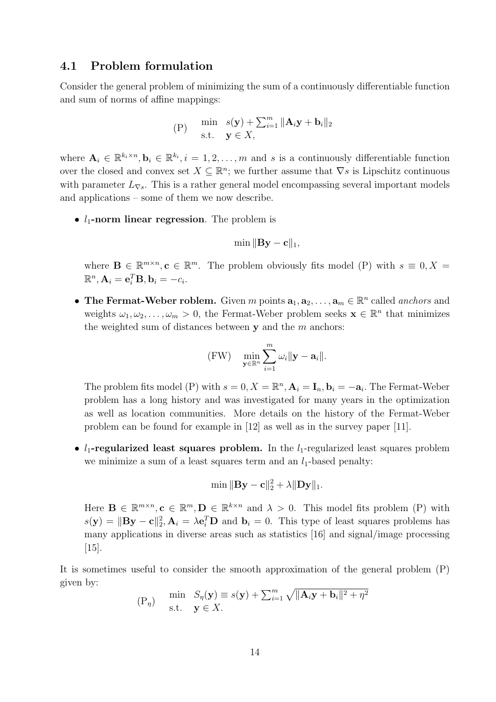### **4.1 Problem formulation**

Consider the general problem of minimizing the sum of a continuously differentiable function and sum of norms of affine mappings:

(P) 
$$
\min_{\mathbf{s}.\mathbf{t}} s(\mathbf{y}) + \sum_{i=1}^{m} ||\mathbf{A}_i \mathbf{y} + \mathbf{b}_i||_2
$$
  
s.t.  $\mathbf{y} \in X$ ,

where  $\mathbf{A}_i \in \mathbb{R}^{k_i \times n}, \mathbf{b}_i \in \mathbb{R}^{k_i}, i = 1, 2, \ldots, m$  and *s* is a continuously differentiable function over the closed and convex set  $X \subseteq \mathbb{R}^n$ ; we further assume that  $\nabla s$  is Lipschitz continuous with parameter  $L_{\nabla s}$ . This is a rather general model encompassing several important models and applications – some of them we now describe.

•  $l_1$ -norm linear regression. The problem is

$$
\min \|\mathbf{B}\mathbf{y}-\mathbf{c}\|_1,
$$

where  $\mathbf{B} \in \mathbb{R}^{m \times n}, \mathbf{c} \in \mathbb{R}^m$ . The problem obviously fits model (P) with  $s \equiv 0, X =$  $\mathbb{R}^n, \mathbf{A}_i = \mathbf{e}_i^T \mathbf{B}, \mathbf{b}_i = -c_i.$ 

• **The Fermat-Weber roblem.** Given *m* points  $\mathbf{a}_1, \mathbf{a}_2, \ldots, \mathbf{a}_m \in \mathbb{R}^n$  called *anchors* and weights  $\omega_1, \omega_2, \ldots, \omega_m > 0$ , the Fermat-Weber problem seeks  $\mathbf{x} \in \mathbb{R}^n$  that minimizes the weighted sum of distances between **y** and the *m* anchors:

$$
(\mathrm{FW}) \quad \min_{\mathbf{y} \in \mathbb{R}^n} \sum_{i=1}^m \omega_i ||\mathbf{y} - \mathbf{a}_i||.
$$

The problem fits model (P) with  $s = 0, X = \mathbb{R}^n, A_i = I_n, b_i = -a_i$ . The Fermat-Weber problem has a long history and was investigated for many years in the optimization as well as location communities. More details on the history of the Fermat-Weber problem can be found for example in [12] as well as in the survey paper [11].

•  $l_1$ -regularized least squares problem. In the  $l_1$ -regularized least squares problem we minimize a sum of a least squares term and an  $l_1$ -based penalty:

$$
\min\| \mathbf{B}\mathbf{y}-\mathbf{c}\|_2^2+\lambda\|\mathbf{D}\mathbf{y}\|_1.
$$

Here  $\mathbf{B} \in \mathbb{R}^{m \times n}, \mathbf{c} \in \mathbb{R}^m, \mathbf{D} \in \mathbb{R}^{k \times n}$  and  $\lambda > 0$ . This model fits problem (P) with  $s(\mathbf{y}) = ||\mathbf{By} - \mathbf{c}||_2^2$ ,  $\mathbf{A}_i = \lambda \mathbf{e}_i^T \mathbf{D}$  and  $\mathbf{b}_i = 0$ . This type of least squares problems has many applications in diverse areas such as statistics [16] and signal/image processing [15].

It is sometimes useful to consider the smooth approximation of the general problem (P) given by:

$$
\begin{aligned} \n\text{(P}_{\eta}) \quad & \min \quad S_{\eta}(\mathbf{y}) \equiv s(\mathbf{y}) + \sum_{i=1}^{m} \sqrt{\|\mathbf{A}_{i}\mathbf{y} + \mathbf{b}_{i}\|^{2} + \eta^{2}} \\ \n\text{s.t.} \quad & \mathbf{y} \in X. \n\end{aligned}
$$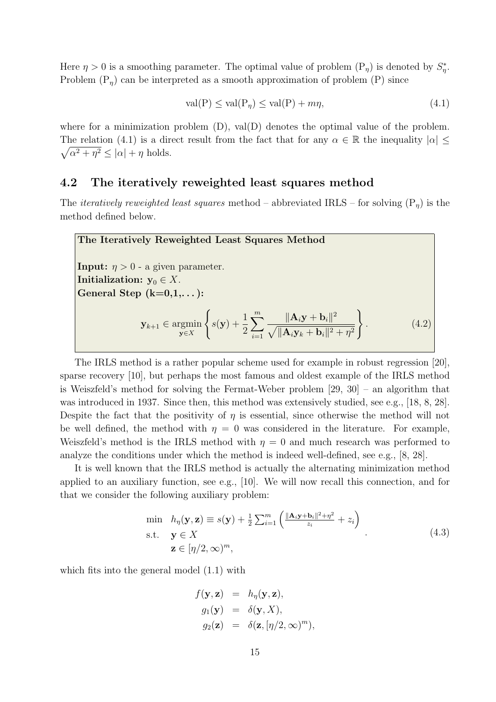Here  $\eta > 0$  is a smoothing parameter. The optimal value of problem  $(P_{\eta})$  is denoted by  $S_{\eta}^*$ . Problem  $(P_{\eta})$  can be interpreted as a smooth approximation of problem  $(P)$  since

$$
\text{val}(P) \le \text{val}(P_{\eta}) \le \text{val}(P) + m\eta,\tag{4.1}
$$

where for a minimization problem  $(D)$ , val $(D)$  denotes the optimal value of the problem. The relation (4.1) is a direct result from the fact that for any  $\alpha \in \mathbb{R}$  the inequality  $|\alpha| \leq$  $\sqrt{\alpha^2 + \eta^2} \leq |\alpha| + \eta$  holds.

### **4.2 The iteratively reweighted least squares method**

The *iteratively reweighted least squares* method – abbreviated IRLS – for solving (P*η*) is the method defined below.



The IRLS method is a rather popular scheme used for example in robust regression [20], sparse recovery [10], but perhaps the most famous and oldest example of the IRLS method is Weiszfeld's method for solving the Fermat-Weber problem [29, 30] – an algorithm that was introduced in 1937. Since then, this method was extensively studied, see e.g., [18, 8, 28]. Despite the fact that the positivity of  $\eta$  is essential, since otherwise the method will not be well defined, the method with  $\eta = 0$  was considered in the literature. For example, Weiszfeld's method is the IRLS method with  $\eta = 0$  and much research was performed to analyze the conditions under which the method is indeed well-defined, see e.g., [8, 28].

It is well known that the IRLS method is actually the alternating minimization method applied to an auxiliary function, see e.g., [10]. We will now recall this connection, and for that we consider the following auxiliary problem:

$$
\min \quad h_{\eta}(\mathbf{y}, \mathbf{z}) \equiv s(\mathbf{y}) + \frac{1}{2} \sum_{i=1}^{m} \left( \frac{\|\mathbf{A}_{i} \mathbf{y} + \mathbf{b}_{i}\|^{2} + \eta^{2}}{z_{i}} + z_{i} \right)
$$
\n
$$
\text{s.t.} \quad \mathbf{y} \in X
$$
\n
$$
\mathbf{z} \in [\eta/2, \infty)^{m}, \tag{4.3}
$$

which fits into the general model  $(1.1)$  with

$$
f(\mathbf{y}, \mathbf{z}) = h_{\eta}(\mathbf{y}, \mathbf{z}),
$$
  
\n
$$
g_1(\mathbf{y}) = \delta(\mathbf{y}, X),
$$
  
\n
$$
g_2(\mathbf{z}) = \delta(\mathbf{z}, [\eta/2, \infty)^m),
$$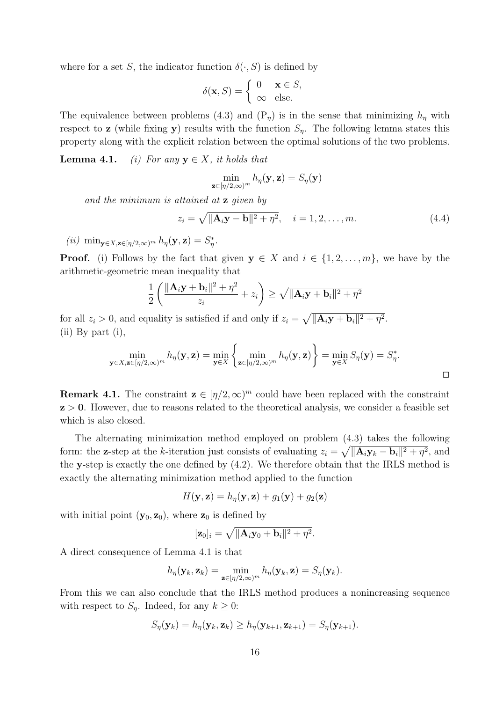where for a set *S*, the indicator function  $\delta(\cdot, S)$  is defined by

$$
\delta(\mathbf{x}, S) = \begin{cases} 0 & \mathbf{x} \in S, \\ \infty & \text{else.} \end{cases}
$$

The equivalence between problems (4.3) and  $(P<sub>\eta</sub>)$  is in the sense that minimizing  $h<sub>\eta</sub>$  with respect to **z** (while fixing **y**) results with the function  $S_n$ . The following lemma states this property along with the explicit relation between the optimal solutions of the two problems.

**Lemma 4.1.** *(i) For any*  $y \in X$ *, it holds that* 

$$
\min_{\mathbf{z}\in[\eta/2,\infty)^m}h_{\eta}(\mathbf{y},\mathbf{z})=S_{\eta}(\mathbf{y})
$$

*and the minimum is attained at* **z** *given by*

$$
z_i = \sqrt{\|\mathbf{A}_i \mathbf{y} - \mathbf{b}\|^2 + \eta^2}, \quad i = 1, 2, ..., m.
$$
 (4.4)

 $(iii)$  min<sub>y∈</sub>*X*,**z**∈[*η*/2,∞)<sup>*m*</sup>  $h$ <sub>*η*</sub></sub>(**y**,**z**) =  $S^*$ <sub>*i*</sub>.

**Proof.** (i) Follows by the fact that given  $y \in X$  and  $i \in \{1, 2, \ldots, m\}$ , we have by the arithmetic-geometric mean inequality that

$$
\frac{1}{2}\left(\frac{\|\mathbf{A}_i\mathbf{y} + \mathbf{b}_i\|^2 + \eta^2}{z_i} + z_i\right) \ge \sqrt{\|\mathbf{A}_i\mathbf{y} + \mathbf{b}_i\|^2 + \eta^2}
$$

for all  $z_i > 0$ , and equality is satisfied if and only if  $z_i = \sqrt{\|\mathbf{A}_i\mathbf{y} + \mathbf{b}_i\|^2 + \eta^2}$ . (ii) By part (i),

$$
\min_{\mathbf{y}\in X,\mathbf{z}\in[\eta/2,\infty)^m}h_{\eta}(\mathbf{y},\mathbf{z})=\min_{\mathbf{y}\in X}\left\{\min_{\mathbf{z}\in[\eta/2,\infty)^m}h_{\eta}(\mathbf{y},\mathbf{z})\right\}=\min_{\mathbf{y}\in X}S_{\eta}(\mathbf{y})=S_{\eta}^*.
$$

**Remark 4.1.** The constraint  $\mathbf{z} \in [\eta/2, \infty]^m$  could have been replaced with the constraint **z** *>* **0**. However, due to reasons related to the theoretical analysis, we consider a feasible set which is also closed.

The alternating minimization method employed on problem (4.3) takes the following form: the **z**-step at the *k*-iteration just consists of evaluating  $z_i = \sqrt{\|\mathbf{A}_i \mathbf{y}_k - \mathbf{b}_i\|^2 + \eta^2}$ , and the **y**-step is exactly the one defined by (4.2). We therefore obtain that the IRLS method is exactly the alternating minimization method applied to the function

$$
H(\mathbf{y}, \mathbf{z}) = h_{\eta}(\mathbf{y}, \mathbf{z}) + g_1(\mathbf{y}) + g_2(\mathbf{z})
$$

with initial point  $(\mathbf{y}_0, \mathbf{z}_0)$ , where  $\mathbf{z}_0$  is defined by

$$
[\mathbf{z}_0]_i = \sqrt{\|\mathbf{A}_i\mathbf{y}_0 + \mathbf{b}_i\|^2 + \eta^2}.
$$

A direct consequence of Lemma 4.1 is that

$$
h_{\eta}(\mathbf{y}_k, \mathbf{z}_k) = \min_{\mathbf{z} \in [\eta/2, \infty)^m} h_{\eta}(\mathbf{y}_k, \mathbf{z}) = S_{\eta}(\mathbf{y}_k).
$$

From this we can also conclude that the IRLS method produces a nonincreasing sequence with respect to  $S_n$ . Indeed, for any  $k \geq 0$ :

$$
S_{\eta}(\mathbf{y}_k) = h_{\eta}(\mathbf{y}_k, \mathbf{z}_k) \ge h_{\eta}(\mathbf{y}_{k+1}, \mathbf{z}_{k+1}) = S_{\eta}(\mathbf{y}_{k+1}).
$$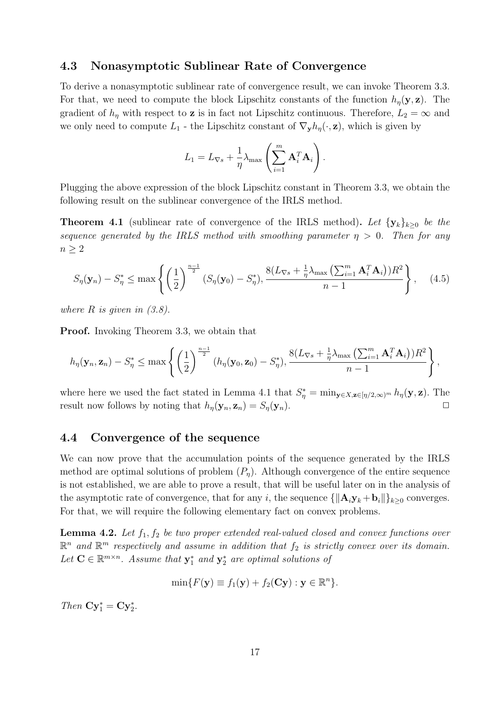### **4.3 Nonasymptotic Sublinear Rate of Convergence**

To derive a nonasymptotic sublinear rate of convergence result, we can invoke Theorem 3.3. For that, we need to compute the block Lipschitz constants of the function  $h_{\eta}(\mathbf{y}, \mathbf{z})$ . The gradient of  $h_{\eta}$  with respect to **z** is in fact not Lipschitz continuous. Therefore,  $L_2 = \infty$  and we only need to compute  $L_1$  - the Lipschitz constant of  $\nabla_{\mathbf{y}} h_{\eta}(\cdot, \mathbf{z})$ , which is given by

$$
L_1 = L_{\nabla s} + \frac{1}{\eta} \lambda_{\max} \left( \sum_{i=1}^m \mathbf{A}_i^T \mathbf{A}_i \right).
$$

Plugging the above expression of the block Lipschitz constant in Theorem 3.3, we obtain the following result on the sublinear convergence of the IRLS method.

**Theorem 4.1** (sublinear rate of convergence of the IRLS method). Let  $\{y_k\}_{k\geq0}$  be the *sequence generated by the IRLS method with smoothing parameter*  $\eta > 0$ . Then for any  $n \geq 2$ 

$$
S_{\eta}(\mathbf{y}_n) - S_{\eta}^* \le \max\left\{ \left(\frac{1}{2}\right)^{\frac{n-1}{2}} (S_{\eta}(\mathbf{y}_0) - S_{\eta}^*), \frac{8(L_{\nabla s} + \frac{1}{\eta}\lambda_{\max}\left(\sum_{i=1}^m \mathbf{A}_i^T \mathbf{A}_i\right))R^2}{n-1} \right\}, \quad (4.5)
$$

*where R is given in (3.8).*

**Proof.** Invoking Theorem 3.3, we obtain that

$$
h_{\eta}(\mathbf{y}_n, \mathbf{z}_n) - S_{\eta}^* \leq \max \left\{ \left(\frac{1}{2}\right)^{\frac{n-1}{2}} (h_{\eta}(\mathbf{y}_0, \mathbf{z}_0) - S_{\eta}^*), \frac{8(L_{\nabla s} + \frac{1}{\eta}\lambda_{\max}\left(\sum_{i=1}^m \mathbf{A}_i^T \mathbf{A}_i\right))R^2}{n-1} \right\},
$$

where here we used the fact stated in Lemma 4.1 that  $S^*_{\eta} = \min_{\mathbf{y} \in X, \mathbf{z} \in [\eta/2, \infty)^m} h_{\eta}(\mathbf{y}, \mathbf{z})$ . The result now follows by noting that  $h_{\eta}(\mathbf{y}_n, \mathbf{z}_n) = S_{\eta}(\mathbf{y}_n)$ .

### **4.4 Convergence of the sequence**

We can now prove that the accumulation points of the sequence generated by the IRLS method are optimal solutions of problem  $(P_n)$ . Although convergence of the entire sequence is not established, we are able to prove a result, that will be useful later on in the analysis of the asymptotic rate of convergence, that for any *i*, the sequence  $\{\|\mathbf{A}_i\mathbf{y}_k + \mathbf{b}_i\|\}_{k \geq 0}$  converges. For that, we will require the following elementary fact on convex problems.

**Lemma 4.2.** *Let f*1*, f*<sup>2</sup> *be two proper extended real-valued closed and convex functions over*  $\mathbb{R}^n$  and  $\mathbb{R}^m$  respectively and assume in addition that  $f_2$  is strictly convex over its domain. Let  $\mathbf{C} \in \mathbb{R}^{m \times n}$ . Assume that  $\mathbf{y}_1^*$  and  $\mathbf{y}_2^*$  are optimal solutions of

$$
\min\{F(\mathbf{y}) \equiv f_1(\mathbf{y}) + f_2(\mathbf{C}\mathbf{y}) : \mathbf{y} \in \mathbb{R}^n\}.
$$

*Then*  $\mathbf{C}\mathbf{y}_1^* = \mathbf{C}\mathbf{y}_2^*$ .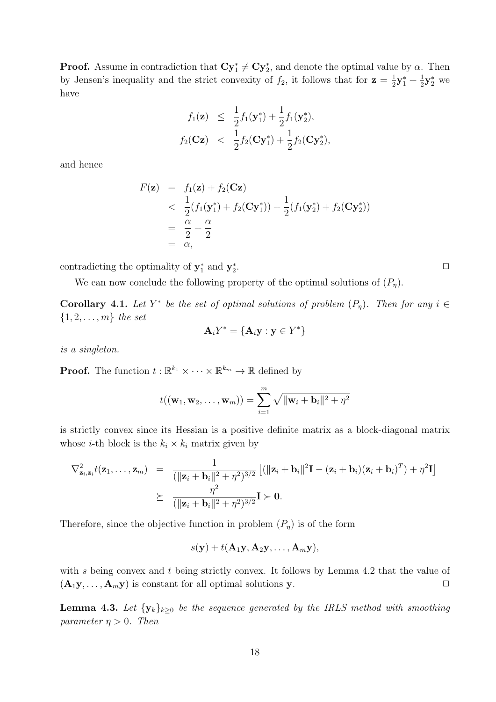**Proof.** Assume in contradiction that  $\mathbf{C}\mathbf{y}_1^* \neq \mathbf{C}\mathbf{y}_2^*$ , and denote the optimal value by  $\alpha$ . Then by Jensen's inequality and the strict convexity of  $f_2$ , it follows that for  $z = \frac{1}{2}$  $\frac{1}{2}y_1^* + \frac{1}{2}$  $\frac{1}{2}\mathbf{y}_2^*$  we have

$$
f_1(\mathbf{z}) \leq \frac{1}{2} f_1(\mathbf{y}_1^*) + \frac{1}{2} f_1(\mathbf{y}_2^*),
$$
  

$$
f_2(\mathbf{Cz}) < \frac{1}{2} f_2(\mathbf{Cy}_1^*) + \frac{1}{2} f_2(\mathbf{Cy}_2^*),
$$

and hence

$$
F(\mathbf{z}) = f_1(\mathbf{z}) + f_2(\mathbf{Cz})
$$
  

$$
< \frac{1}{2}(f_1(\mathbf{y}_1^*) + f_2(\mathbf{Cy}_1^*)) + \frac{1}{2}(f_1(\mathbf{y}_2^*) + f_2(\mathbf{Cy}_2^*))
$$
  

$$
= \frac{\alpha}{2} + \frac{\alpha}{2}
$$
  

$$
= \alpha,
$$

contradicting the optimality of  $y_1^*$  and  $y_2^*$ 

We can now conclude the following property of the optimal solutions of  $(P_n)$ .

**Corollary 4.1.** Let  $Y^*$  be the set of optimal solutions of problem  $(P_{\eta})$ . Then for any  $i \in$ *{*1*,* 2*, . . . , m} the set*

$$
\mathbf{A}_i Y^* = \{ \mathbf{A}_i \mathbf{y} : \mathbf{y} \in Y^* \}
$$

*is a singleton.*

**Proof.** The function  $t : \mathbb{R}^{k_1} \times \cdots \times \mathbb{R}^{k_m} \to \mathbb{R}$  defined by

$$
t((\mathbf{w}_1, \mathbf{w}_2, \dots, \mathbf{w}_m)) = \sum_{i=1}^m \sqrt{\|\mathbf{w}_i + \mathbf{b}_i\|^2 + \eta^2}
$$

is strictly convex since its Hessian is a positive definite matrix as a block-diagonal matrix whose *i*-th block is the  $k_i \times k_i$  matrix given by

$$
\nabla_{\mathbf{z}_i, \mathbf{z}_i}^2 t(\mathbf{z}_1, \dots, \mathbf{z}_m) = \frac{1}{(\|\mathbf{z}_i + \mathbf{b}_i\|^2 + \eta^2)^{3/2}} \left[ (\|\mathbf{z}_i + \mathbf{b}_i\|^2 \mathbf{I} - (\mathbf{z}_i + \mathbf{b}_i)(\mathbf{z}_i + \mathbf{b}_i)^T) + \eta^2 \mathbf{I} \right]
$$
  
 
$$
\succeq \frac{\eta^2}{(\|\mathbf{z}_i + \mathbf{b}_i\|^2 + \eta^2)^{3/2}} \mathbf{I} \succ \mathbf{0}.
$$

Therefore, since the objective function in problem  $(P_n)$  is of the form

$$
s(\mathbf{y}) + t(\mathbf{A}_1\mathbf{y}, \mathbf{A}_2\mathbf{y}, \ldots, \mathbf{A}_m\mathbf{y}),
$$

with *s* being convex and *t* being strictly convex. It follows by Lemma 4.2 that the value of  $(A_1y, \ldots, A_my)$  is constant for all optimal solutions **y**.  $\Box$ 

**Lemma 4.3.** Let  $\{y_k\}_{k\geq 0}$  be the sequence generated by the IRLS method with smoothing *parameter*  $\eta > 0$ *. Then* 

. *✷*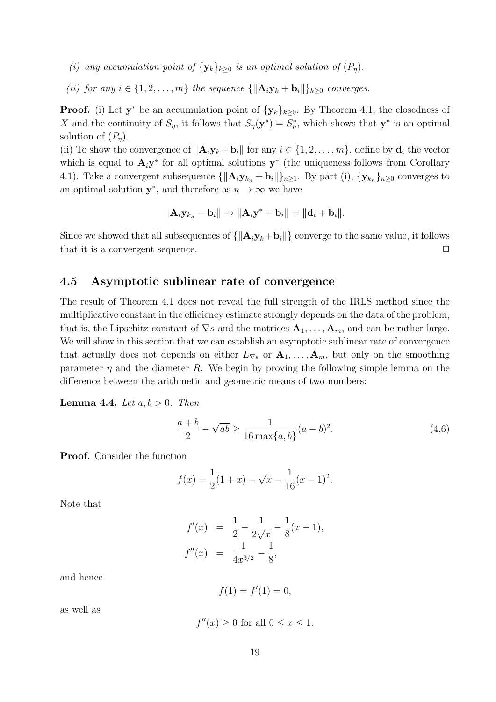- *(i) any accumulation point of*  ${\bf \{y_k\}}_{k>0}$  *is an optimal solution of*  $(P_n)$ *.*
- *(ii) for any i* ∈ {1, 2, . . . , *m*} *the sequence* { $\|\mathbf{A}_i \mathbf{y}_k + \mathbf{b}_i\|$ } $_{k>0}$  *converges.*

**Proof.** (i) Let **y**<sup>\*</sup> be an accumulation point of  ${\bf \{y_k\}}_{k\geq 0}$ . By Theorem 4.1, the closedness of *X* and the continuity of  $S_\eta$ , it follows that  $S_\eta(\mathbf{y}^*) = S_\eta^*$ , which shows that  $\mathbf{y}^*$  is an optimal solution of  $(P_n)$ .

(ii) To show the convergence of  $||\mathbf{A}_i \mathbf{y}_k + \mathbf{b}_i||$  for any  $i \in \{1, 2, ..., m\}$ , define by  $\mathbf{d}_i$  the vector which is equal to  $\mathbf{A}_i \mathbf{y}^*$  for all optimal solutions  $\mathbf{y}^*$  (the uniqueness follows from Corollary 4.1). Take a convergent subsequence  ${\{\|\mathbf{A}_i\mathbf{y}_{k_n} + \mathbf{b}_i\|\}_{n>1}}$ . By part (i),  ${\{\mathbf{y}_{k_n}\}_{n>0}}$  converges to an optimal solution  $y^*$ , and therefore as  $n \to \infty$  we have

$$
\|\mathbf{A}_i\mathbf{y}_{k_n} + \mathbf{b}_i\| \rightarrow \|\mathbf{A}_i\mathbf{y}^* + \mathbf{b}_i\| = \|\mathbf{d}_i + \mathbf{b}_i\|.
$$

Since we showed that all subsequences of  $\{\|\mathbf{A}_i\mathbf{y}_k+\mathbf{b}_i\|\}$  converge to the same value, it follows that it is a convergent sequence. **□** 

### **4.5 Asymptotic sublinear rate of convergence**

The result of Theorem 4.1 does not reveal the full strength of the IRLS method since the multiplicative constant in the efficiency estimate strongly depends on the data of the problem, that is, the Lipschitz constant of  $\nabla s$  and the matrices  $\mathbf{A}_1, \ldots, \mathbf{A}_m$ , and can be rather large. We will show in this section that we can establish an asymptotic sublinear rate of convergence that actually does not depends on either  $L_{\nabla s}$  or  $\mathbf{A}_1, \ldots, \mathbf{A}_m$ , but only on the smoothing parameter  $\eta$  and the diameter  $R$ . We begin by proving the following simple lemma on the difference between the arithmetic and geometric means of two numbers:

**Lemma 4.4.** *Let*  $a, b > 0$ *. Then* 

$$
\frac{a+b}{2} - \sqrt{ab} \ge \frac{1}{16 \max\{a, b\}} (a - b)^2.
$$
 (4.6)

**Proof.** Consider the function

$$
f(x) = \frac{1}{2}(1+x) - \sqrt{x} - \frac{1}{16}(x-1)^2.
$$

Note that

$$
f'(x) = \frac{1}{2} - \frac{1}{2\sqrt{x}} - \frac{1}{8}(x - 1),
$$
  

$$
f''(x) = \frac{1}{4x^{3/2}} - \frac{1}{8},
$$

and hence

 $f(1) = f'(1) = 0,$ 

as well as

 $f''(x) \ge 0$  for all  $0 \le x \le 1$ .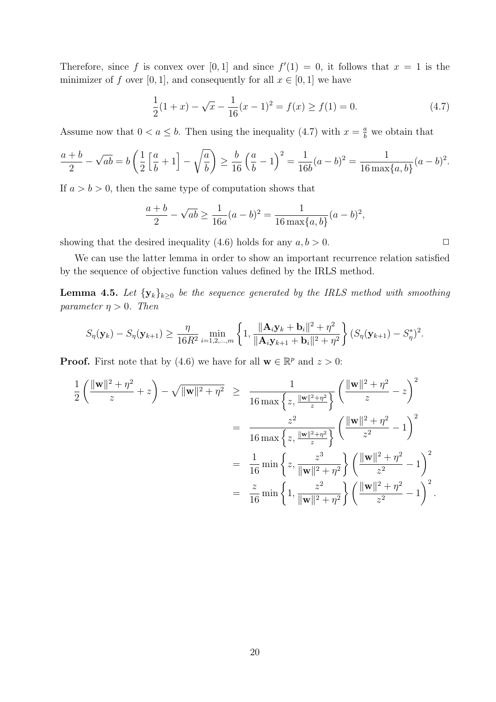Therefore, since f is convex over [0, 1] and since  $f'(1) = 0$ , it follows that  $x = 1$  is the minimizer of *f* over [0, 1], and consequently for all  $x \in [0, 1]$  we have

$$
\frac{1}{2}(1+x) - \sqrt{x} - \frac{1}{16}(x-1)^2 = f(x) \ge f(1) = 0.
$$
 (4.7)

Assume now that  $0 < a \leq b$ . Then using the inequality (4.7) with  $x = \frac{a}{b}$  we obtain that

$$
\frac{a+b}{2} - \sqrt{ab} = b\left(\frac{1}{2}\left[\frac{a}{b} + 1\right] - \sqrt{\frac{a}{b}}\right) \ge \frac{b}{16}\left(\frac{a}{b} - 1\right)^2 = \frac{1}{16b}(a-b)^2 = \frac{1}{16\max\{a,b\}}(a-b)^2.
$$

If  $a > b > 0$ , then the same type of computation shows that

$$
\frac{a+b}{2} - \sqrt{ab} \ge \frac{1}{16a}(a-b)^2 = \frac{1}{16 \max\{a,b\}}(a-b)^2,
$$

showing that the desired inequality (4.6) holds for any  $a, b > 0$ .

We can use the latter lemma in order to show an important recurrence relation satisfied by the sequence of objective function values defined by the IRLS method.

**Lemma 4.5.** Let  $\{y_k\}_{k\geq 0}$  be the sequence generated by the IRLS method with smoothing *parameter*  $\eta > 0$ *. Then* 

$$
S_{\eta}(\mathbf{y}_k) - S_{\eta}(\mathbf{y}_{k+1}) \ge \frac{\eta}{16R^2} \min_{i=1,2,\dots,m} \left\{ 1, \frac{\|\mathbf{A}_i \mathbf{y}_k + \mathbf{b}_i\|^2 + \eta^2}{\|\mathbf{A}_i \mathbf{y}_{k+1} + \mathbf{b}_i\|^2 + \eta^2} \right\} (S_{\eta}(\mathbf{y}_{k+1}) - S_{\eta}^*)^2.
$$

**Proof.** First note that by (4.6) we have for all  $\mathbf{w} \in \mathbb{R}^p$  and  $z > 0$ :

$$
\frac{1}{2} \left( \frac{\|\mathbf{w}\|^2 + \eta^2}{z} + z \right) - \sqrt{\|\mathbf{w}\|^2 + \eta^2} \ge \frac{1}{16 \max \left\{ z, \frac{\|\mathbf{w}\|^2 + \eta^2}{z} \right\}} \left( \frac{\|\mathbf{w}\|^2 + \eta^2}{z} - z \right)^2
$$
\n
$$
= \frac{z^2}{16 \max \left\{ z, \frac{\|\mathbf{w}\|^2 + \eta^2}{z^2} \right\}} \left( \frac{\|\mathbf{w}\|^2 + \eta^2}{z^2} - 1 \right)^2
$$
\n
$$
= \frac{1}{16} \min \left\{ z, \frac{z^3}{\|\mathbf{w}\|^2 + \eta^2} \right\} \left( \frac{\|\mathbf{w}\|^2 + \eta^2}{z^2} - 1 \right)^2
$$
\n
$$
= \frac{z}{16} \min \left\{ 1, \frac{z^2}{\|\mathbf{w}\|^2 + \eta^2} \right\} \left( \frac{\|\mathbf{w}\|^2 + \eta^2}{z^2} - 1 \right)^2.
$$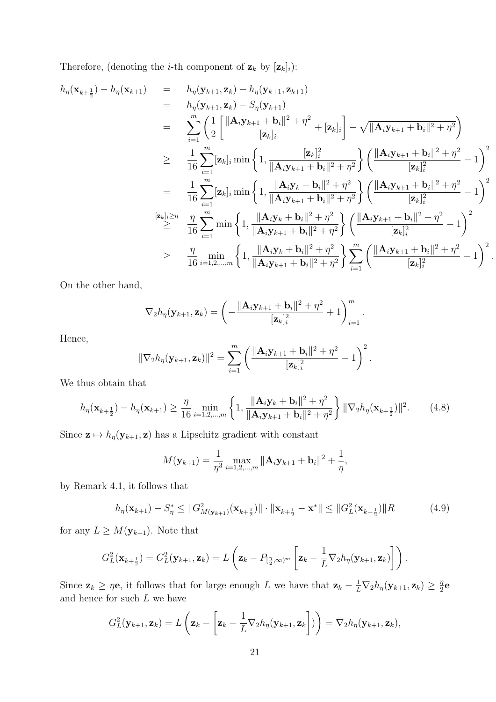Therefore, (denoting the *i*-th component of  $\mathbf{z}_k$  by  $[\mathbf{z}_k]_i$ ):

$$
h_{\eta}(\mathbf{x}_{k+\frac{1}{2}}) - h_{\eta}(\mathbf{x}_{k+1}) = h_{\eta}(\mathbf{y}_{k+1}, \mathbf{z}_{k}) - h_{\eta}(\mathbf{y}_{k+1}, \mathbf{z}_{k+1})
$$
  
\n
$$
= h_{\eta}(\mathbf{y}_{k+1}, \mathbf{z}_{k}) - S_{\eta}(\mathbf{y}_{k+1})
$$
  
\n
$$
= \sum_{i=1}^{m} \left( \frac{1}{2} \left[ \frac{\|\mathbf{A}_{i}\mathbf{y}_{k+1} + \mathbf{b}_{i}\|^{2} + \eta^{2}}{[\mathbf{z}_{k}]_{i}} - \sqrt{\|\mathbf{A}_{i}\mathbf{y}_{k+1} + \mathbf{b}_{i}\|^{2} + \eta^{2}} \right] \right)
$$
  
\n
$$
\geq \frac{1}{16} \sum_{i=1}^{m} [\mathbf{z}_{k}]_{i} \min \left\{ 1, \frac{[\mathbf{z}_{k}]_{i}^{2}}{\|\mathbf{A}_{i}\mathbf{y}_{k+1} + \mathbf{b}_{i}\|^{2} + \eta^{2}} \right\} \left( \frac{\|\mathbf{A}_{i}\mathbf{y}_{k+1} + \mathbf{b}_{i}\|^{2} + \eta^{2}}{[\mathbf{z}_{k}]_{i}^{2}} - 1 \right)^{2}
$$
  
\n
$$
= \frac{1}{16} \sum_{i=1}^{m} [\mathbf{z}_{k}]_{i} \min \left\{ 1, \frac{\|\mathbf{A}_{i}\mathbf{y}_{k} + \mathbf{b}_{i}\|^{2} + \eta^{2}}{\|\mathbf{A}_{i}\mathbf{y}_{k+1} + \mathbf{b}_{i}\|^{2} + \eta^{2}} \right\} \left( \frac{\|\mathbf{A}_{i}\mathbf{y}_{k+1} + \mathbf{b}_{i}\|^{2} + \eta^{2}}{[\mathbf{z}_{k}]_{i}^{2}} - 1 \right)^{2}
$$
  
\n
$$
\stackrel{[z_{k}]_{i} \geq \eta}{16} \sum_{i=1}^{m} \min \left\{ 1, \frac{\|\mathbf{A}_{i}\mathbf{y}_{k} + \mathbf{b}_{i}\|^{2} + \eta^{2}}{\|\mathbf{A}_{i}\mathbf{y}_{k+1} + \mathbf{b}_{i}\|^{2} + \eta
$$

*.*

On the other hand,

$$
\nabla_2 h_{\eta}(\mathbf{y}_{k+1}, \mathbf{z}_k) = \left(-\frac{\|\mathbf{A}_i \mathbf{y}_{k+1} + \mathbf{b}_i\|^2 + \eta^2}{[\mathbf{z}_k]_i^2} + 1\right)_{i=1}^m.
$$

Hence,

$$
\|\nabla_2 h_{\eta}(\mathbf{y}_{k+1}, \mathbf{z}_k)\|^2 = \sum_{i=1}^m \left( \frac{\|\mathbf{A}_i \mathbf{y}_{k+1} + \mathbf{b}_i\|^2 + \eta^2}{[\mathbf{z}_k]_i^2} - 1 \right)^2
$$

We thus obtain that

$$
h_{\eta}(\mathbf{x}_{k+\frac{1}{2}}) - h_{\eta}(\mathbf{x}_{k+1}) \ge \frac{\eta}{16} \min_{i=1,2,...,m} \left\{ 1, \frac{\|\mathbf{A}_{i}\mathbf{y}_{k} + \mathbf{b}_{i}\|^{2} + \eta^{2}}{\|\mathbf{A}_{i}\mathbf{y}_{k+1} + \mathbf{b}_{i}\|^{2} + \eta^{2}} \right\} \|\nabla_{2}h_{\eta}(\mathbf{x}_{k+\frac{1}{2}})\|^{2}.
$$
 (4.8)

*.*

Since  $\mathbf{z} \mapsto h_{\eta}(\mathbf{y}_{k+1}, \mathbf{z})$  has a Lipschitz gradient with constant

$$
M(\mathbf{y}_{k+1}) = \frac{1}{\eta^3} \max_{i=1,2,...,m} \|\mathbf{A}_i \mathbf{y}_{k+1} + \mathbf{b}_i\|^2 + \frac{1}{\eta},
$$

by Remark 4.1, it follows that

$$
h_{\eta}(\mathbf{x}_{k+1}) - S_{\eta}^* \le ||G_M^2(\mathbf{x}_{k+1}) (\mathbf{x}_{k+\frac{1}{2}})|| \cdot ||\mathbf{x}_{k+\frac{1}{2}} - \mathbf{x}^*|| \le ||G_L^2(\mathbf{x}_{k+\frac{1}{2}})||R
$$
\n(4.9)

for any  $L \geq M(\mathbf{y}_{k+1})$ . Note that

$$
G_L^2(\mathbf{x}_{k+\frac{1}{2}})=G_L^2(\mathbf{y}_{k+1},\mathbf{z}_k)=L\left(\mathbf{z}_k-P_{\left[\frac{\eta}{2},\infty\right)^m}\left[\mathbf{z}_k-\frac{1}{L}\nabla_2h_\eta(\mathbf{y}_{k+1},\mathbf{z}_k)\right]\right).
$$

Since  $\mathbf{z}_k \geq \eta \mathbf{e}$ , it follows that for large enough L we have that  $\mathbf{z}_k - \frac{1}{L} \nabla_2 h_{\eta}(\mathbf{y}_{k+1}, \mathbf{z}_k) \geq \frac{\eta}{2}$  $\frac{\eta}{2}$ **e** and hence for such *L* we have

$$
G_L^2(\mathbf{y}_{k+1},\mathbf{z}_k)=L\left(\mathbf{z}_k-\left[\mathbf{z}_k-\frac{1}{L}\nabla_2h_\eta(\mathbf{y}_{k+1},\mathbf{z}_k\right])\right)=\nabla_2h_\eta(\mathbf{y}_{k+1},\mathbf{z}_k),
$$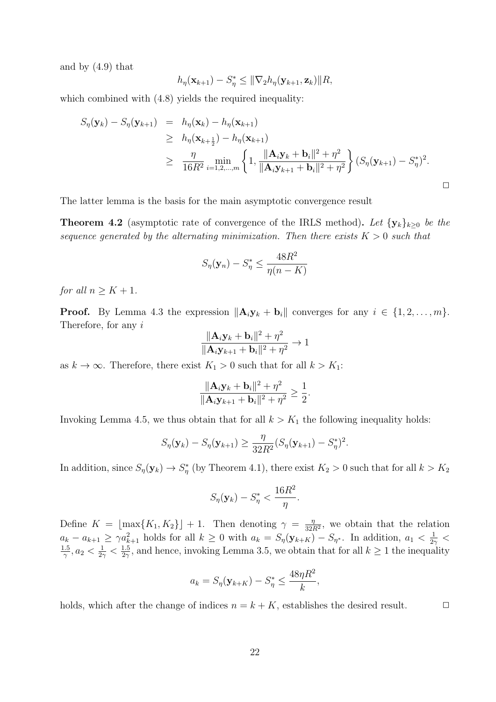and by (4.9) that

$$
h_{\eta}(\mathbf{x}_{k+1}) - S_{\eta}^* \leq \|\nabla_2 h_{\eta}(\mathbf{y}_{k+1}, \mathbf{z}_k)\| R,
$$

which combined with  $(4.8)$  yields the required inequality:

$$
S_{\eta}(\mathbf{y}_{k}) - S_{\eta}(\mathbf{y}_{k+1}) = h_{\eta}(\mathbf{x}_{k}) - h_{\eta}(\mathbf{x}_{k+1})
$$
  
\n
$$
\geq h_{\eta}(\mathbf{x}_{k+\frac{1}{2}}) - h_{\eta}(\mathbf{x}_{k+1})
$$
  
\n
$$
\geq \frac{\eta}{16R^{2}} \min_{i=1,2,...,m} \left\{ 1, \frac{\|\mathbf{A}_{i}\mathbf{y}_{k} + \mathbf{b}_{i}\|^{2} + \eta^{2}}{\|\mathbf{A}_{i}\mathbf{y}_{k+1} + \mathbf{b}_{i}\|^{2} + \eta^{2}} \right\} (S_{\eta}(\mathbf{y}_{k+1}) - S_{\eta}^{*})^{2}.
$$

The latter lemma is the basis for the main asymptotic convergence result

**Theorem 4.2** (asymptotic rate of convergence of the IRLS method). Let  ${\bf \{y_k\}}_{k>0}$  be the *sequence generated by the alternating minimization. Then there exists*  $K > 0$  *such that* 

$$
S_{\eta}(\mathbf{y}_n) - S_{\eta}^* \le \frac{48R^2}{\eta(n - K)}
$$

*for all*  $n \geq K + 1$ *.* 

**Proof.** By Lemma 4.3 the expression  $||A_i y_k + b_i||$  converges for any  $i \in \{1, 2, \ldots, m\}$ . Therefore, for any *i*

$$
\frac{\|\mathbf{A}_i\mathbf{y}_k+\mathbf{b}_i\|^2+\eta^2}{\|\mathbf{A}_i\mathbf{y}_{k+1}+\mathbf{b}_i\|^2+\eta^2}\to 1
$$

as  $k \to \infty$ . Therefore, there exist  $K_1 > 0$  such that for all  $k > K_1$ :

$$
\frac{\|\mathbf{A}_i\mathbf{y}_k+\mathbf{b}_i\|^2+\eta^2}{\|\mathbf{A}_i\mathbf{y}_{k+1}+\mathbf{b}_i\|^2+\eta^2}\geq \frac{1}{2}.
$$

Invoking Lemma 4.5, we thus obtain that for all  $k > K_1$  the following inequality holds:

$$
S_{\eta}(\mathbf{y}_k) - S_{\eta}(\mathbf{y}_{k+1}) \ge \frac{\eta}{32R^2} (S_{\eta}(\mathbf{y}_{k+1}) - S_{\eta}^*)^2.
$$

In addition, since  $S_\eta(\mathbf{y}_k) \to S_\eta^*$  (by Theorem 4.1), there exist  $K_2 > 0$  such that for all  $k > K_2$ 

$$
S_{\eta}(\mathbf{y}_k) - S_{\eta}^* < \frac{16R^2}{\eta}.
$$

Define  $K = \lfloor \max\{K_1, K_2\} \rfloor + 1$ . Then denoting  $\gamma = \frac{\eta}{32i}$  $\frac{\eta}{32R^2}$ , we obtain that the relation  $a_k - a_{k+1} \geq \gamma a_{k+1}^2$  holds for all  $k \geq 0$  with  $a_k = S_{\eta}(\mathbf{y}_{k+K}) - S_{\eta^*}$ . In addition,  $a_1 < \frac{1}{2}$  $\frac{1}{2\gamma}$  < 1*.*5  $\frac{1.5}{\gamma}, a_2 < \frac{1}{2^2}$  $\frac{1}{2\gamma} < \frac{1.5}{2\gamma}$  $\frac{1.5}{2\gamma}$ , and hence, invoking Lemma 3.5, we obtain that for all  $k \geq 1$  the inequality

$$
a_k = S_{\eta}(\mathbf{y}_{k+K}) - S_{\eta}^* \le \frac{48\eta R^2}{k},
$$

holds, which after the change of indices  $n = k + K$ , establishes the desired result.  $\Box$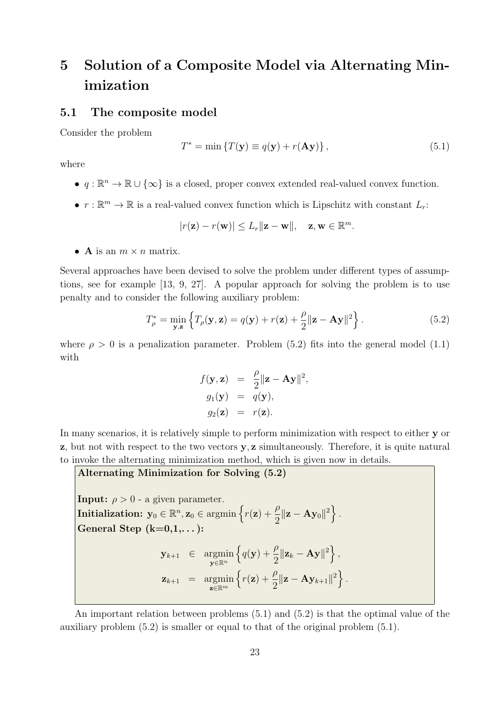# **5 Solution of a Composite Model via Alternating Minimization**

### **5.1 The composite model**

Consider the problem

$$
T^* = \min \{ T(\mathbf{y}) \equiv q(\mathbf{y}) + r(\mathbf{A}\mathbf{y}) \}, \tag{5.1}
$$

where

- *• q* : R *<sup>n</sup> →* R *∪ {∞}* is a closed, proper convex extended real-valued convex function.
- $r : \mathbb{R}^m \to \mathbb{R}$  is a real-valued convex function which is Lipschitz with constant  $L_r$ :

$$
|r(\mathbf{z}) - r(\mathbf{w})| \le L_r ||\mathbf{z} - \mathbf{w}||, \quad \mathbf{z}, \mathbf{w} \in \mathbb{R}^m.
$$

• **A** is an  $m \times n$  matrix.

Several approaches have been devised to solve the problem under different types of assumptions, see for example [13, 9, 27]. A popular approach for solving the problem is to use penalty and to consider the following auxiliary problem:

$$
T_{\rho}^* = \min_{\mathbf{y}, \mathbf{z}} \left\{ T_{\rho}(\mathbf{y}, \mathbf{z}) = q(\mathbf{y}) + r(\mathbf{z}) + \frac{\rho}{2} ||\mathbf{z} - \mathbf{A}\mathbf{y}||^2 \right\}.
$$
 (5.2)

where  $\rho > 0$  is a penalization parameter. Problem (5.2) fits into the general model (1.1) with

$$
f(\mathbf{y}, \mathbf{z}) = \frac{\rho}{2} ||\mathbf{z} - \mathbf{A}\mathbf{y}||^2,
$$
  
\n
$$
g_1(\mathbf{y}) = q(\mathbf{y}),
$$
  
\n
$$
g_2(\mathbf{z}) = r(\mathbf{z}).
$$

In many scenarios, it is relatively simple to perform minimization with respect to either **y** or **z**, but not with respect to the two vectors **y***,* **z** simultaneously. Therefore, it is quite natural to invoke the alternating minimization method, which is given now in details.

**Alternating Minimization for Solving (5.2)**

**Input:**  $\rho > 0$  - a given parameter. **Initialization:**  $\mathbf{y}_0 \in \mathbb{R}^n$ ,  $\mathbf{z}_0 \in \text{argmin} \left\{ r(\mathbf{z}) + \frac{\rho}{2} \right\}$  $\frac{\rho}{2} \|\mathbf{z} - \mathbf{A} \mathbf{y}_0\|^2 \Big\}$  . **General Step (k=0,1,. . . ): y***k*+1 *∈* argmin **y***∈*R*<sup>n</sup>*  $\left\{ q(\mathbf{y}) + \frac{\rho}{2} \right\}$  $\frac{\rho}{2} ||\mathbf{z}_k - \mathbf{A} \mathbf{y}||^2 \Big\},$  $z_{k+1}$  = argmin **z***∈*R*<sup>m</sup>*  $\left\{r(\mathbf{z}) + \frac{\rho}{2}\right\}$  $\frac{\rho}{2}$ ||**z** - **Ay**<sub>*k*+1</sub>||<sup>2</sup> $\Big\}$ .

An important relation between problems (5.1) and (5.2) is that the optimal value of the auxiliary problem (5.2) is smaller or equal to that of the original problem (5.1).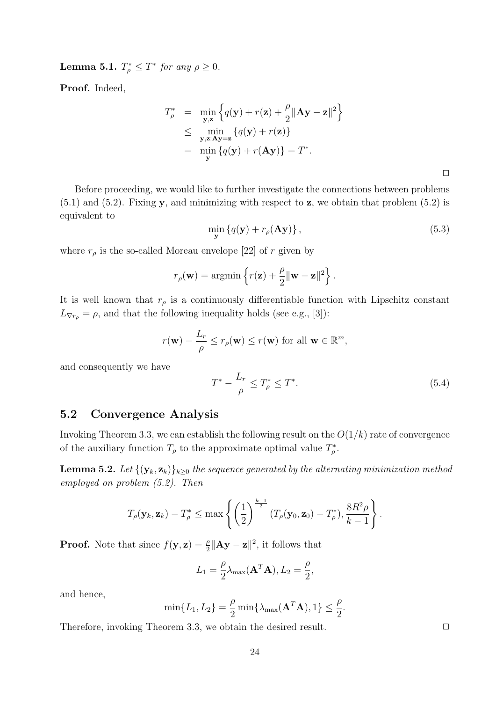**Lemma 5.1.**  $T^*_{\rho} \leq T^*$  for any  $\rho \geq 0$ .

**Proof.** Indeed,

$$
T_{\rho}^* = \min_{\mathbf{y}, \mathbf{z}} \left\{ q(\mathbf{y}) + r(\mathbf{z}) + \frac{\rho}{2} ||\mathbf{A}\mathbf{y} - \mathbf{z}||^2 \right\}
$$
  
\n
$$
\leq \min_{\mathbf{y}, \mathbf{z}: \mathbf{A}\mathbf{y} = \mathbf{z}} \left\{ q(\mathbf{y}) + r(\mathbf{z}) \right\}
$$
  
\n
$$
= \min_{\mathbf{y}} \left\{ q(\mathbf{y}) + r(\mathbf{A}\mathbf{y}) \right\} = T^*.
$$

Before proceeding, we would like to further investigate the connections between problems (5.1) and (5.2). Fixing **y**, and minimizing with respect to **z**, we obtain that problem (5.2) is equivalent to

$$
\min_{\mathbf{y}} \left\{ q(\mathbf{y}) + r_{\rho}(\mathbf{A}\mathbf{y}) \right\},\tag{5.3}
$$

where  $r_{\rho}$  is the so-called Moreau envelope [22] of *r* given by

$$
r_{\rho}(\mathbf{w}) = \operatorname{argmin} \left\{ r(\mathbf{z}) + \frac{\rho}{2} ||\mathbf{w} - \mathbf{z}||^2 \right\}.
$$

It is well known that  $r<sub>\rho</sub>$  is a continuously differentiable function with Lipschitz constant  $L_{\nabla r_{\rho}} = \rho$ , and that the following inequality holds (see e.g., [3]):

$$
r(\mathbf{w}) - \frac{L_r}{\rho} \le r_\rho(\mathbf{w}) \le r(\mathbf{w}) \text{ for all } \mathbf{w} \in \mathbb{R}^m,
$$

and consequently we have

$$
T^* - \frac{L_r}{\rho} \le T^*_{\rho} \le T^*.
$$
\n(5.4)

### **5.2 Convergence Analysis**

Invoking Theorem 3.3, we can establish the following result on the *O*(1*/k*) rate of convergence of the auxiliary function  $T_{\rho}$  to the approximate optimal value  $T_{\rho}^*$ .

**Lemma 5.2.** *Let*  $\{(\mathbf{y}_k, \mathbf{z}_k)\}_{k\geq 0}$  *the sequence generated by the alternating minimization method employed on problem (5.2). Then*

$$
T_{\rho}(\mathbf{y}_k, \mathbf{z}_k) - T_{\rho}^* \le \max \left\{ \left(\frac{1}{2}\right)^{\frac{k-1}{2}} (T_{\rho}(\mathbf{y}_0, \mathbf{z}_0) - T_{\rho}^*), \frac{8R^2\rho}{k-1} \right\}.
$$

**Proof.** Note that since  $f(\mathbf{y}, \mathbf{z}) = \frac{\rho}{2} ||\mathbf{A}\mathbf{y} - \mathbf{z}||^2$ , it follows that

$$
L_1 = \frac{\rho}{2} \lambda_{\text{max}}(\mathbf{A}^T \mathbf{A}), L_2 = \frac{\rho}{2},
$$

and hence,

$$
\min\{L_1, L_2\} = \frac{\rho}{2} \min\{\lambda_{\max}(\mathbf{A}^T \mathbf{A}), 1\} \le \frac{\rho}{2}.
$$

Therefore, invoking Theorem 3.3, we obtain the desired result.  $\Box$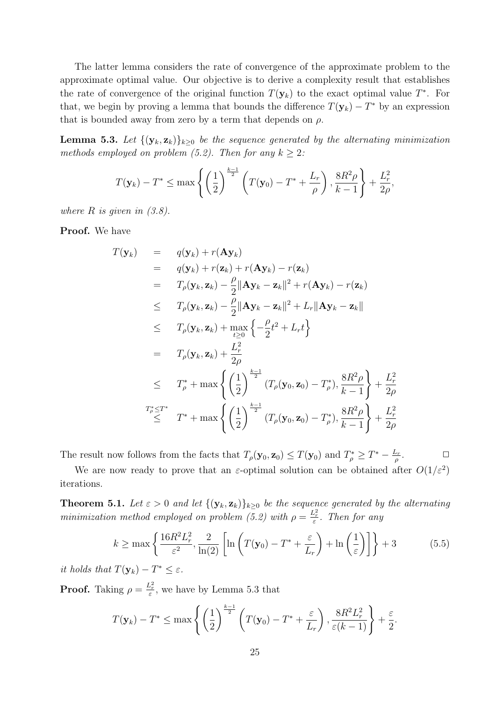The latter lemma considers the rate of convergence of the approximate problem to the approximate optimal value. Our objective is to derive a complexity result that establishes the rate of convergence of the original function  $T(\mathbf{y}_k)$  to the exact optimal value  $T^*$ . For that, we begin by proving a lemma that bounds the difference  $T(\mathbf{y}_k) - T^*$  by an expression that is bounded away from zero by a term that depends on  $\rho$ .

**Lemma 5.3.** Let  $\{(\mathbf{y}_k, \mathbf{z}_k)\}_{k\geq 0}$  be the sequence generated by the alternating minimization *methods employed on problem (5.2). Then for any*  $k \geq 2$ :

$$
T(\mathbf{y}_k) - T^* \le \max \left\{ \left( \frac{1}{2} \right)^{\frac{k-1}{2}} \left( T(\mathbf{y}_0) - T^* + \frac{L_r}{\rho} \right), \frac{8R^2 \rho}{k-1} \right\} + \frac{L_r^2}{2\rho},
$$

*where R is given in (3.8).*

**Proof.** We have

$$
T(\mathbf{y}_k) = q(\mathbf{y}_k) + r(\mathbf{A}\mathbf{y}_k)
$$
  
\n
$$
= q(\mathbf{y}_k) + r(\mathbf{z}_k) + r(\mathbf{A}\mathbf{y}_k) - r(\mathbf{z}_k)
$$
  
\n
$$
= T_\rho(\mathbf{y}_k, \mathbf{z}_k) - \frac{\rho}{2} ||\mathbf{A}\mathbf{y}_k - \mathbf{z}_k||^2 + r(\mathbf{A}\mathbf{y}_k) - r(\mathbf{z}_k)
$$
  
\n
$$
\leq T_\rho(\mathbf{y}_k, \mathbf{z}_k) - \frac{\rho}{2} ||\mathbf{A}\mathbf{y}_k - \mathbf{z}_k||^2 + L_r ||\mathbf{A}\mathbf{y}_k - \mathbf{z}_k||
$$
  
\n
$$
\leq T_\rho(\mathbf{y}_k, \mathbf{z}_k) + \max_{t \geq 0} \left\{ -\frac{\rho}{2}t^2 + L_r t \right\}
$$
  
\n
$$
= T_\rho(\mathbf{y}_k, \mathbf{z}_k) + \frac{L_r^2}{2\rho}
$$
  
\n
$$
\leq T_\rho^* + \max \left\{ \left( \frac{1}{2} \right)^{\frac{k-1}{2}} (T_\rho(\mathbf{y}_0, \mathbf{z}_0) - T_\rho^*), \frac{8R^2\rho}{k-1} \right\} + \frac{L_r^2}{2\rho}
$$
  
\n
$$
T_\rho^* \leq T^* + \max \left\{ \left( \frac{1}{2} \right)^{\frac{k-1}{2}} (T_\rho(\mathbf{y}_0, \mathbf{z}_0) - T_\rho^*), \frac{8R^2\rho}{k-1} \right\} + \frac{L_r^2}{2\rho}
$$

The result now follows from the facts that  $T_\rho(\mathbf{y}_0, \mathbf{z}_0) \leq T(\mathbf{y}_0)$  and  $T_\rho^* \geq T^* - \frac{L_r}{\rho}$ *ρ*  $\Box$ 

We are now ready to prove that an  $\varepsilon$ -optimal solution can be obtained after  $O(1/\varepsilon^2)$ iterations.

**Theorem 5.1.** *Let*  $\varepsilon > 0$  *and let*  $\{(\mathbf{y}_k, \mathbf{z}_k)\}_{k \geq 0}$  *be the sequence generated by the alternating minimization method employed on problem (5.2) with*  $\rho = \frac{L_r^2}{\varepsilon}$ *. Then for any* 

$$
k \ge \max\left\{\frac{16R^2L_r^2}{\varepsilon^2}, \frac{2}{\ln(2)}\left[\ln\left(T(\mathbf{y}_0) - T^* + \frac{\varepsilon}{L_r}\right) + \ln\left(\frac{1}{\varepsilon}\right)\right]\right\} + 3\tag{5.5}
$$

*it holds that*  $T(\mathbf{y}_k) - T^* \leq \varepsilon$ *.* 

**Proof.** Taking  $\rho = \frac{L_r^2}{\varepsilon}$ , we have by Lemma 5.3 that

$$
T(\mathbf{y}_k) - T^* \le \max\left\{ \left(\frac{1}{2}\right)^{\frac{k-1}{2}} \left(T(\mathbf{y}_0) - T^* + \frac{\varepsilon}{L_r}\right), \frac{8R^2L_r^2}{\varepsilon(k-1)} \right\} + \frac{\varepsilon}{2}.
$$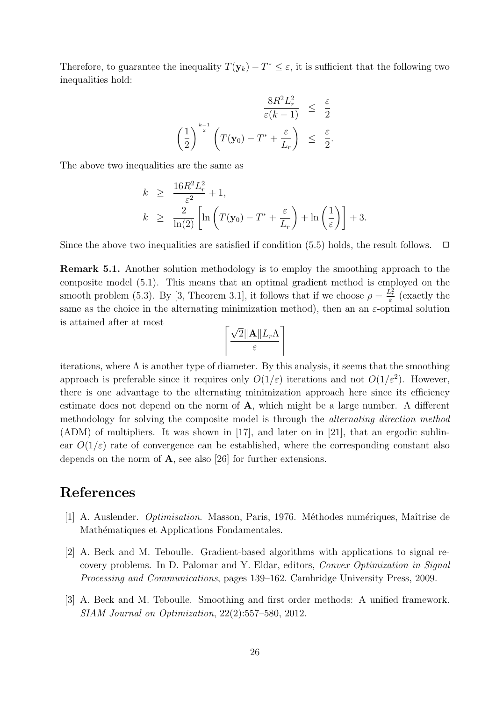Therefore, to guarantee the inequality  $T(\mathbf{y}_k) - T^* \leq \varepsilon$ , it is sufficient that the following two inequalities hold:

$$
\frac{8R^2L_r^2}{\varepsilon(k-1)} \leq \frac{\varepsilon}{2}
$$

$$
\left(\frac{1}{2}\right)^{\frac{k-1}{2}} \left(T(\mathbf{y}_0) - T^* + \frac{\varepsilon}{L_r}\right) \leq \frac{\varepsilon}{2}.
$$

The above two inequalities are the same as

$$
k \geq \frac{16R^2L_r^2}{\varepsilon^2} + 1,
$$
  
\n
$$
k \geq \frac{2}{\ln(2)} \left[ \ln \left( T(\mathbf{y}_0) - T^* + \frac{\varepsilon}{L_r} \right) + \ln \left( \frac{1}{\varepsilon} \right) \right] + 3.
$$

Since the above two inequalities are satisfied if condition  $(5.5)$  holds, the result follows.  $\Box$ 

**Remark 5.1.** Another solution methodology is to employ the smoothing approach to the composite model (5.1). This means that an optimal gradient method is employed on the smooth problem (5.3). By [3, Theorem 3.1], it follows that if we choose  $\rho = \frac{L_r^2}{\varepsilon}$  (exactly the same as the choice in the alternating minimization method), then an an  $\varepsilon$ -optimal solution is attained after at most

$$
\left\lceil\frac{\sqrt{2}\|\mathbf{A}\|L_r\Lambda}{\varepsilon}\right\rceil
$$

iterations, where  $\Lambda$  is another type of diameter. By this analysis, it seems that the smoothing approach is preferable since it requires only  $O(1/\varepsilon)$  iterations and not  $O(1/\varepsilon^2)$ . However, there is one advantage to the alternating minimization approach here since its efficiency estimate does not depend on the norm of **A**, which might be a large number. A different methodology for solving the composite model is through the *alternating direction method* (ADM) of multipliers. It was shown in [17], and later on in [21], that an ergodic sublinear  $O(1/\varepsilon)$  rate of convergence can be established, where the corresponding constant also depends on the norm of **A**, see also [26] for further extensions.

## **References**

- [1] A. Auslender. *Optimisation*. Masson, Paris, 1976. Méthodes numériques, Maîtrise de Mathématiques et Applications Fondamentales.
- [2] A. Beck and M. Teboulle. Gradient-based algorithms with applications to signal recovery problems. In D. Palomar and Y. Eldar, editors, *Convex Optimization in Signal Processing and Communications*, pages 139–162. Cambridge University Press, 2009.
- [3] A. Beck and M. Teboulle. Smoothing and first order methods: A unified framework. *SIAM Journal on Optimization*, 22(2):557–580, 2012.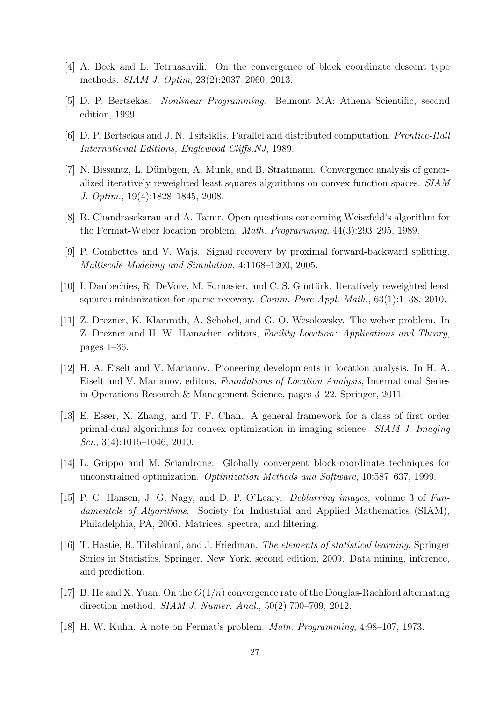- [4] A. Beck and L. Tetruashvili. On the convergence of block coordinate descent type methods. *SIAM J. Optim*, 23(2):2037–2060, 2013.
- [5] D. P. Bertsekas. *Nonlinear Programming*. Belmont MA: Athena Scientific, second edition, 1999.
- [6] D. P. Bertsekas and J. N. Tsitsiklis. Parallel and distributed computation. *Prentice-Hall International Editions, Englewood Cliffs,NJ*, 1989.
- [7] N. Bissantz, L. Dümbgen, A. Munk, and B. Stratmann. Convergence analysis of generalized iteratively reweighted least squares algorithms on convex function spaces. *SIAM J. Optim.*, 19(4):1828–1845, 2008.
- [8] R. Chandrasekaran and A. Tamir. Open questions concerning Weiszfeld's algorithm for the Fermat-Weber location problem. *Math. Programming*, 44(3):293–295, 1989.
- [9] P. Combettes and V. Wajs. Signal recovery by proximal forward-backward splitting. *Multiscale Modeling and Simulation*, 4:1168–1200, 2005.
- [10] I. Daubechies, R. DeVore, M. Fornasier, and C. S. Güntürk. Iteratively reweighted least squares minimization for sparse recovery. *Comm. Pure Appl. Math.*, 63(1):1–38, 2010.
- [11] Z. Drezner, K. Klamroth, A. Schobel, and G. O. Wesolowsky. The weber problem. In Z. Drezner and H. W. Hamacher, editors, *Facility Location: Applications and Theory*, pages 1–36.
- [12] H. A. Eiselt and V. Marianov. Pioneering developments in location analysis. In H. A. Eiselt and V. Marianov, editors, *Foundations of Location Analysis*, International Series in Operations Research & Management Science, pages 3–22. Springer, 2011.
- [13] E. Esser, X. Zhang, and T. F. Chan. A general framework for a class of first order primal-dual algorithms for convex optimization in imaging science. *SIAM J. Imaging Sci.*, 3(4):1015–1046, 2010.
- [14] L. Grippo and M. Sciandrone. Globally convergent block-coordinate techniques for unconstrained optimization. *Optimization Methods and Software*, 10:587–637, 1999.
- [15] P. C. Hansen, J. G. Nagy, and D. P. O'Leary. *Deblurring images*, volume 3 of *Fundamentals of Algorithms*. Society for Industrial and Applied Mathematics (SIAM), Philadelphia, PA, 2006. Matrices, spectra, and filtering.
- [16] T. Hastie, R. Tibshirani, and J. Friedman. *The elements of statistical learning*. Springer Series in Statistics. Springer, New York, second edition, 2009. Data mining, inference, and prediction.
- [17] B. He and X. Yuan. On the  $O(1/n)$  convergence rate of the Douglas-Rachford alternating direction method. *SIAM J. Numer. Anal.*, 50(2):700–709, 2012.
- [18] H. W. Kuhn. A note on Fermat's problem. *Math. Programming*, 4:98–107, 1973.